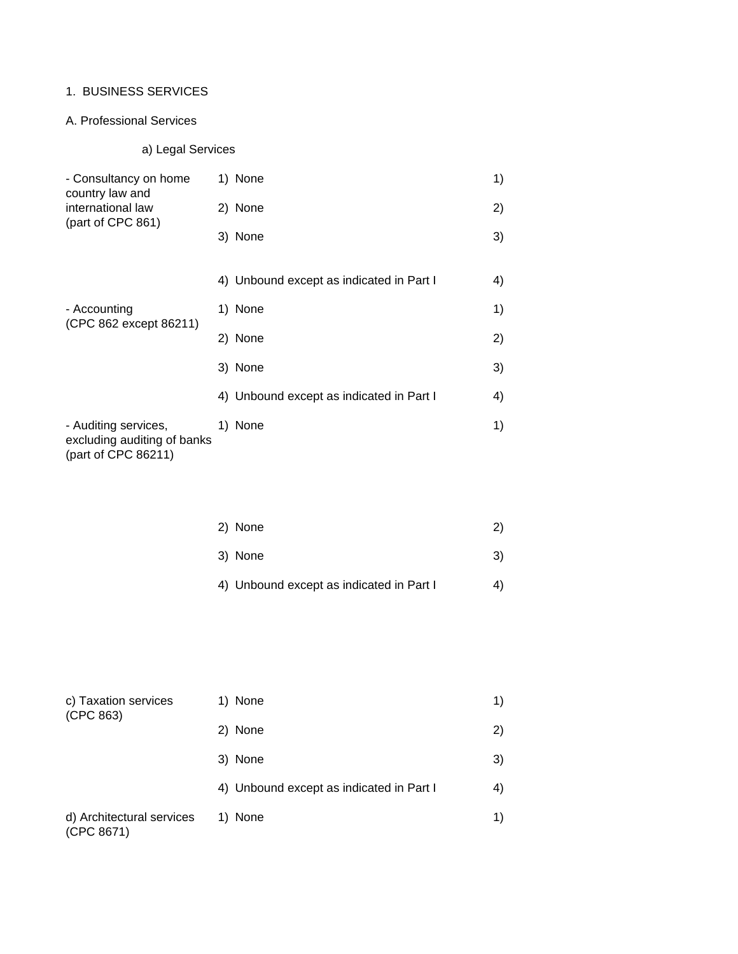## 1. BUSINESS SERVICES

## A. Professional Services

# a) Legal Services

| - Consultancy on home                                                      | 1) None                                  | 1) |
|----------------------------------------------------------------------------|------------------------------------------|----|
| country law and<br>international law<br>(part of CPC 861)                  | 2) None                                  | 2) |
|                                                                            | 3) None                                  | 3) |
|                                                                            |                                          |    |
|                                                                            | 4) Unbound except as indicated in Part I | 4) |
| - Accounting<br>(CPC 862 except 86211)                                     | 1) None                                  | 1) |
|                                                                            | 2) None                                  | 2) |
|                                                                            | 3) None                                  | 3) |
|                                                                            | 4) Unbound except as indicated in Part I | 4) |
| - Auditing services,<br>excluding auditing of banks<br>(part of CPC 86211) | 1) None                                  | 1) |

| 2) None | 2) |
|---------|----|
| 3) None | 3) |

4) Unbound except as indicated in Part I 4)

| c) Taxation services<br>(CPC 863)       | 1) None                                  |    |  |
|-----------------------------------------|------------------------------------------|----|--|
|                                         | 2) None                                  | 2) |  |
|                                         | 3) None                                  | 3) |  |
|                                         | 4) Unbound except as indicated in Part I | 4) |  |
| d) Architectural services<br>(CPC 8671) | 1) None                                  | 1) |  |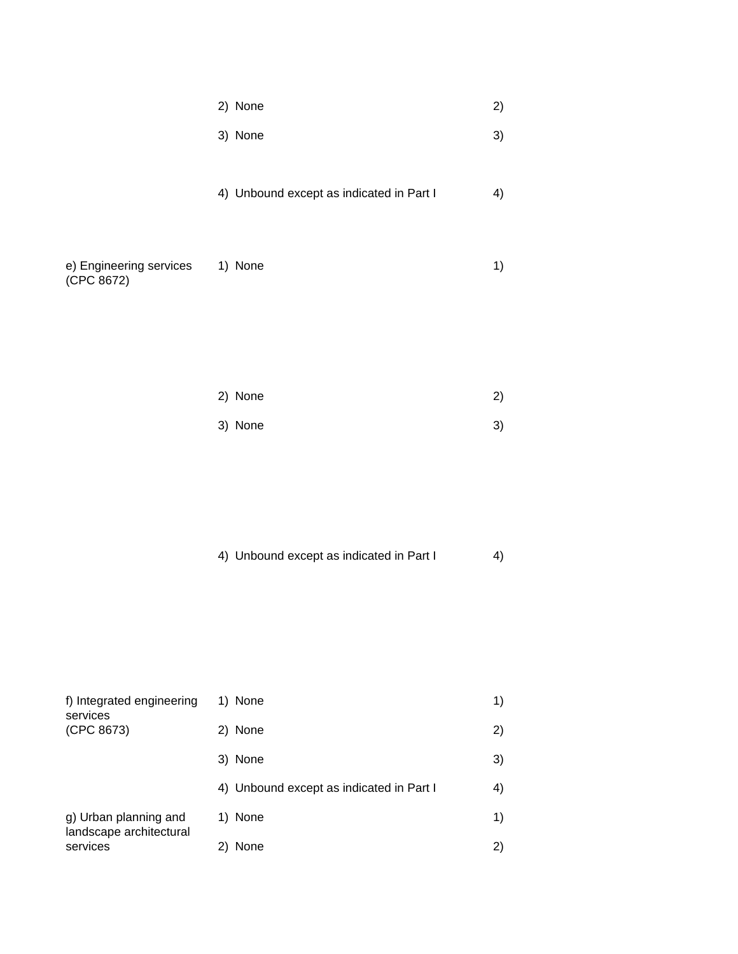|  | 2) None |  |  |
|--|---------|--|--|
|--|---------|--|--|

- $3)$  None  $3)$
- 4) Unbound except as indicated in Part I 4)

| e) Engineering services | 1) None |  |
|-------------------------|---------|--|
| (CPC 8672)              |         |  |

| 2) None | 2) |
|---------|----|
| 3) None | 3) |

4) Unbound except as indicated in Part I 4)

| f) Integrated engineering<br>services            | 1) None                                  | 1) |
|--------------------------------------------------|------------------------------------------|----|
| (CPC 8673)                                       | 2) None                                  | 2) |
|                                                  | 3) None                                  | 3) |
|                                                  | 4) Unbound except as indicated in Part I | 4) |
| g) Urban planning and<br>landscape architectural | 1) None                                  | 1) |
| services                                         | None                                     | 2) |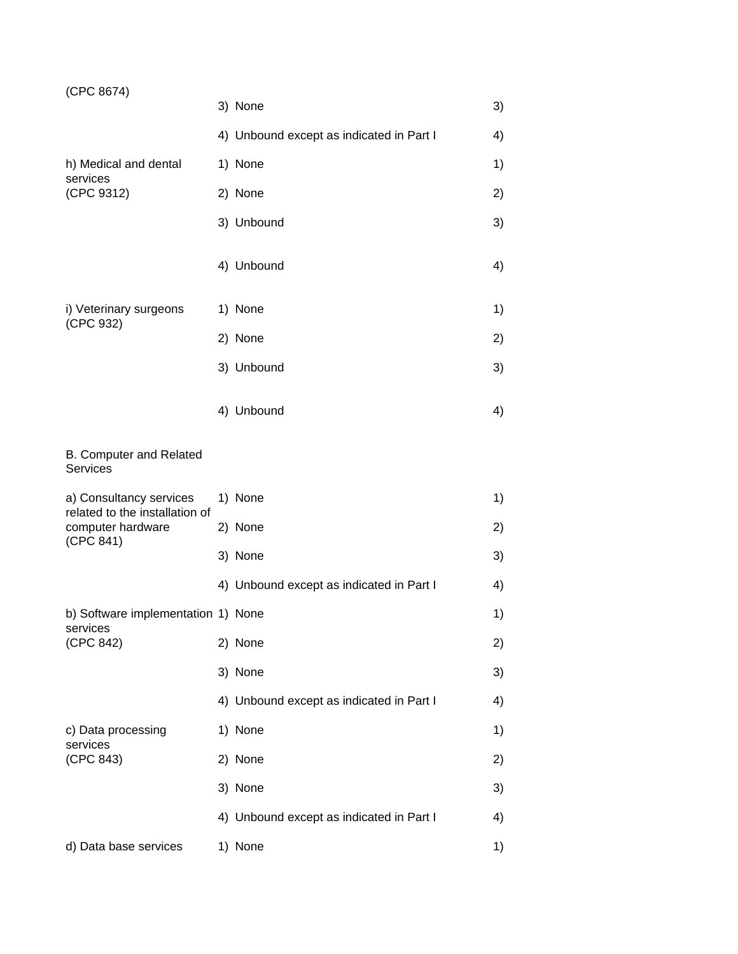| (CPC 8674) |  |
|------------|--|
|------------|--|

| (CPC 8674)                                                                                  |                                          |    |
|---------------------------------------------------------------------------------------------|------------------------------------------|----|
|                                                                                             | 3) None                                  | 3) |
|                                                                                             | 4) Unbound except as indicated in Part I | 4) |
| h) Medical and dental                                                                       | 1) None                                  | 1) |
| services<br>(CPC 9312)                                                                      | 2) None                                  | 2) |
|                                                                                             | 3) Unbound                               | 3) |
|                                                                                             | 4) Unbound                               | 4) |
| i) Veterinary surgeons<br>(CPC 932)                                                         | 1) None                                  | 1) |
|                                                                                             | 2) None                                  | 2) |
|                                                                                             | 3) Unbound                               | 3) |
|                                                                                             | 4) Unbound                               | 4) |
| B. Computer and Related<br><b>Services</b>                                                  |                                          |    |
| a) Consultancy services<br>related to the installation of<br>computer hardware<br>(CPC 841) | 1) None                                  | 1) |
|                                                                                             | 2) None                                  | 2) |
|                                                                                             | 3) None                                  | 3) |
|                                                                                             | 4) Unbound except as indicated in Part I | 4) |
| b) Software implementation 1) None                                                          |                                          | 1) |
| services<br>(CPC 842)                                                                       | 2) None                                  | 2) |
|                                                                                             | 3) None                                  | 3) |
|                                                                                             | 4) Unbound except as indicated in Part I | 4) |
| c) Data processing<br>services                                                              | 1) None                                  | 1) |
| (CPC 843)                                                                                   | 2) None                                  | 2) |
|                                                                                             | 3) None                                  | 3) |
|                                                                                             | 4) Unbound except as indicated in Part I | 4) |
| d) Data base services                                                                       | 1) None                                  | 1) |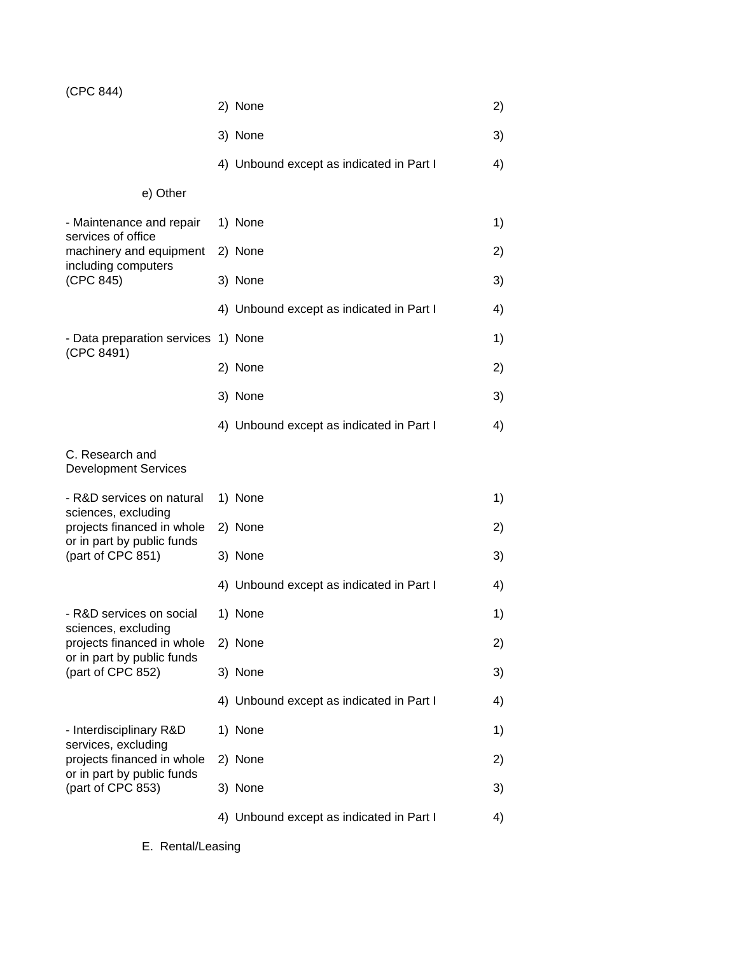| (CPC 844) |  |
|-----------|--|
|-----------|--|

|                                                                                 | 2) None                                  | 2) |
|---------------------------------------------------------------------------------|------------------------------------------|----|
|                                                                                 | 3) None                                  | 3) |
|                                                                                 | 4) Unbound except as indicated in Part I | 4) |
| e) Other                                                                        |                                          |    |
| - Maintenance and repair<br>services of office                                  | 1) None                                  | 1) |
| machinery and equipment<br>including computers                                  | 2) None                                  | 2) |
| (CPC 845)                                                                       | 3) None                                  | 3) |
|                                                                                 | 4) Unbound except as indicated in Part I | 4) |
| - Data preparation services 1) None<br>(CPC 8491)                               |                                          | 1) |
|                                                                                 | 2) None                                  | 2) |
|                                                                                 | 3) None                                  | 3) |
|                                                                                 | 4) Unbound except as indicated in Part I | 4) |
| C. Research and<br><b>Development Services</b>                                  |                                          |    |
| - R&D services on natural                                                       | 1) None                                  | 1) |
| sciences, excluding<br>projects financed in whole<br>or in part by public funds | 2) None                                  | 2) |
| (part of CPC 851)                                                               | 3) None                                  | 3) |
|                                                                                 | 4) Unbound except as indicated in Part I | 4) |
| - R&D services on social<br>sciences, excluding                                 | 1) None                                  | 1) |
| projects financed in whole<br>or in part by public funds                        | 2) None                                  | 2) |
| (part of CPC 852)                                                               | 3) None                                  | 3) |
|                                                                                 | 4) Unbound except as indicated in Part I | 4) |
| - Interdisciplinary R&D<br>services, excluding                                  | 1) None                                  | 1) |
| projects financed in whole<br>or in part by public funds                        | 2) None                                  | 2) |
| (part of CPC 853)                                                               | 3) None                                  | 3) |
|                                                                                 | 4) Unbound except as indicated in Part I | 4) |

E. Rental/Leasing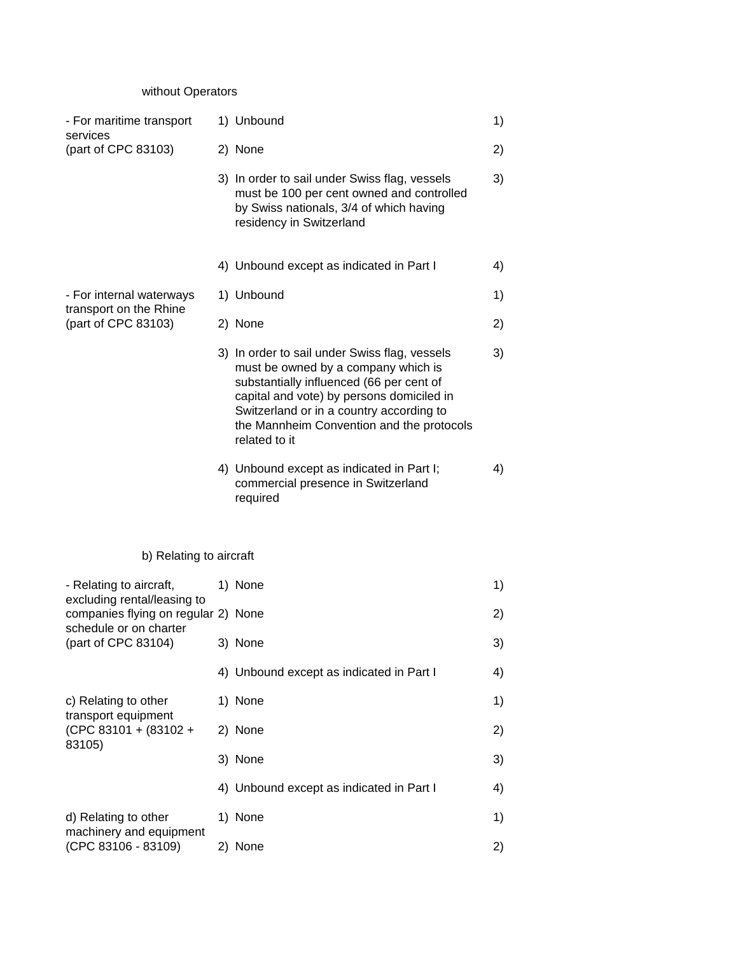# without Operators

| - For maritime transport                                           | 1) Unbound                                                                                                                                                                                                                                                                              | 1) |
|--------------------------------------------------------------------|-----------------------------------------------------------------------------------------------------------------------------------------------------------------------------------------------------------------------------------------------------------------------------------------|----|
| services<br>(part of CPC 83103)                                    | 2) None                                                                                                                                                                                                                                                                                 | 2) |
|                                                                    | 3) In order to sail under Swiss flag, vessels<br>must be 100 per cent owned and controlled<br>by Swiss nationals, 3/4 of which having<br>residency in Switzerland                                                                                                                       | 3) |
|                                                                    | 4) Unbound except as indicated in Part I                                                                                                                                                                                                                                                | 4) |
| - For internal waterways<br>transport on the Rhine                 | 1) Unbound                                                                                                                                                                                                                                                                              | 1) |
| (part of CPC 83103)                                                | 2) None                                                                                                                                                                                                                                                                                 | 2) |
|                                                                    | 3) In order to sail under Swiss flag, vessels<br>must be owned by a company which is<br>substantially influenced (66 per cent of<br>capital and vote) by persons domiciled in<br>Switzerland or in a country according to<br>the Mannheim Convention and the protocols<br>related to it | 3) |
|                                                                    | 4) Unbound except as indicated in Part I;<br>commercial presence in Switzerland<br>required                                                                                                                                                                                             | 4) |
| b) Relating to aircraft                                            |                                                                                                                                                                                                                                                                                         |    |
| - Relating to aircraft,                                            | 1) None                                                                                                                                                                                                                                                                                 | 1) |
| excluding rental/leasing to<br>companies flying on regular 2) None |                                                                                                                                                                                                                                                                                         | 2) |
| schedule or on charter<br>(part of CPC 83104)                      | 3) None                                                                                                                                                                                                                                                                                 | 3) |
|                                                                    | 4) Unbound except as indicated in Part I                                                                                                                                                                                                                                                | 4) |
| c) Relating to other                                               | 1) None                                                                                                                                                                                                                                                                                 | 1) |
| transport equipment<br>(CPC 83101 + (83102 +<br>83105)             | 2) None                                                                                                                                                                                                                                                                                 | 2) |
|                                                                    | 3) None                                                                                                                                                                                                                                                                                 | 3) |
|                                                                    | 4) Unbound except as indicated in Part I                                                                                                                                                                                                                                                | 4) |
| d) Relating to other<br>machinery and equipment                    | 1) None                                                                                                                                                                                                                                                                                 | 1) |
| (CPC 83106 - 83109)                                                | 2) None                                                                                                                                                                                                                                                                                 | 2) |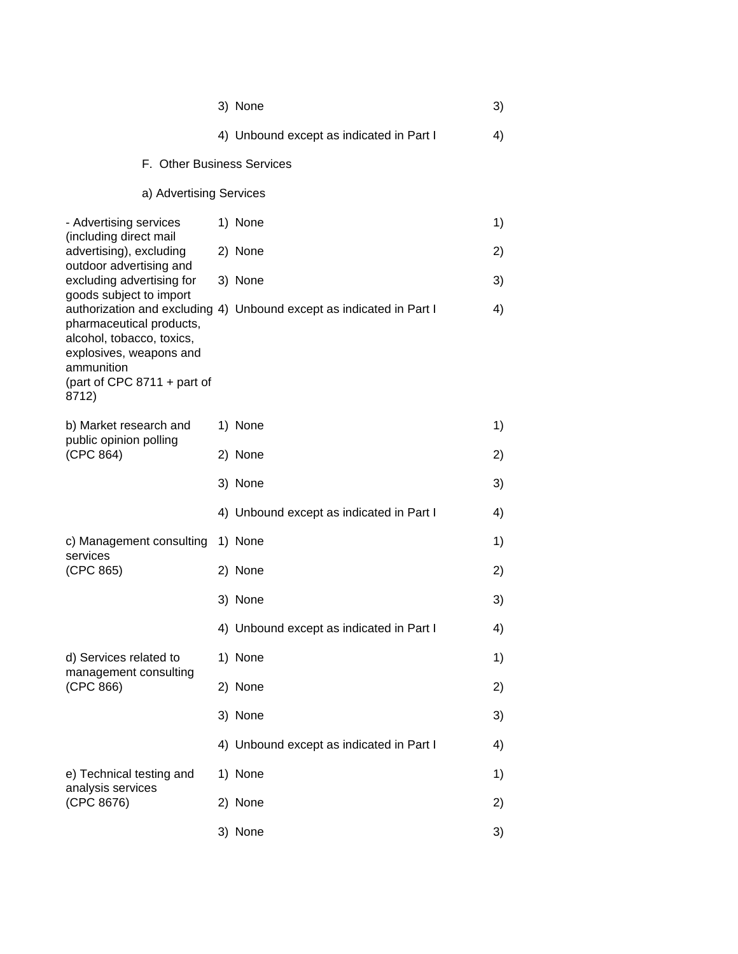|                                                                                                                                          | 3) None                                                              | 3) |
|------------------------------------------------------------------------------------------------------------------------------------------|----------------------------------------------------------------------|----|
|                                                                                                                                          | 4) Unbound except as indicated in Part I                             | 4) |
| F. Other Business Services                                                                                                               |                                                                      |    |
| a) Advertising Services                                                                                                                  |                                                                      |    |
| - Advertising services<br>(including direct mail                                                                                         | 1) None                                                              | 1) |
| advertising), excluding<br>outdoor advertising and                                                                                       | 2) None                                                              | 2) |
| excluding advertising for<br>goods subject to import                                                                                     | 3) None                                                              | 3) |
| pharmaceutical products,<br>alcohol, tobacco, toxics,<br>explosives, weapons and<br>ammunition<br>(part of CPC $8711 +$ part of<br>8712) | authorization and excluding 4) Unbound except as indicated in Part I | 4) |
| b) Market research and                                                                                                                   | 1) None                                                              | 1) |
| public opinion polling<br>(CPC 864)                                                                                                      | 2) None                                                              | 2) |
|                                                                                                                                          | 3) None                                                              | 3) |
|                                                                                                                                          | 4) Unbound except as indicated in Part I                             | 4) |
| c) Management consulting<br>services                                                                                                     | 1) None                                                              | 1) |
| (CPC 865)                                                                                                                                | 2) None                                                              | 2) |
|                                                                                                                                          | 3) None                                                              | 3) |
|                                                                                                                                          | 4) Unbound except as indicated in Part I                             | 4) |
| d) Services related to<br>management consulting                                                                                          | 1) None                                                              | 1) |
| (CPC 866)                                                                                                                                | 2) None                                                              | 2) |
|                                                                                                                                          | 3) None                                                              | 3) |
|                                                                                                                                          | 4) Unbound except as indicated in Part I                             | 4) |
| e) Technical testing and<br>analysis services                                                                                            | 1) None                                                              | 1) |
| (CPC 8676)                                                                                                                               | 2) None                                                              | 2) |
|                                                                                                                                          | 3) None                                                              | 3) |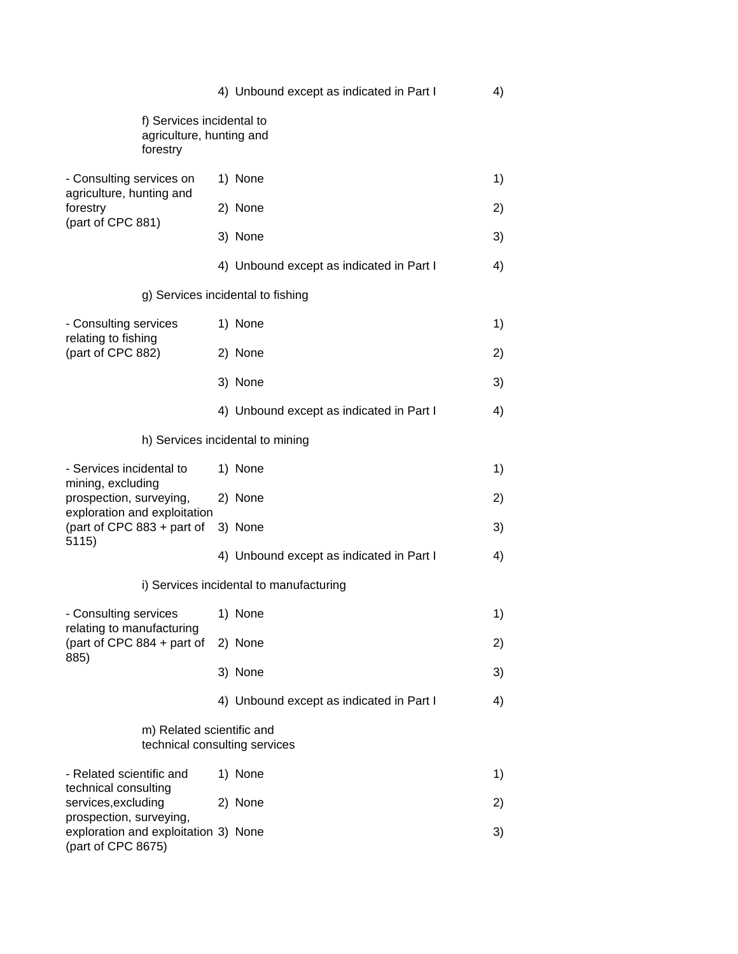|                                                                                                                                                   | 4) Unbound except as indicated in Part I | 4) |
|---------------------------------------------------------------------------------------------------------------------------------------------------|------------------------------------------|----|
| f) Services incidental to<br>agriculture, hunting and<br>forestry                                                                                 |                                          |    |
| - Consulting services on<br>agriculture, hunting and                                                                                              | 1) None                                  | 1) |
| forestry                                                                                                                                          | 2) None                                  | 2) |
| (part of CPC 881)                                                                                                                                 | 3) None                                  | 3) |
|                                                                                                                                                   | 4) Unbound except as indicated in Part I | 4) |
|                                                                                                                                                   | g) Services incidental to fishing        |    |
| - Consulting services                                                                                                                             | 1) None                                  | 1) |
| relating to fishing<br>(part of CPC 882)                                                                                                          | 2) None                                  | 2) |
|                                                                                                                                                   | 3) None                                  | 3) |
|                                                                                                                                                   | 4) Unbound except as indicated in Part I | 4) |
|                                                                                                                                                   | h) Services incidental to mining         |    |
| - Services incidental to<br>mining, excluding<br>prospection, surveying,<br>exploration and exploitation<br>(part of CPC $883 +$ part of<br>5115) | 1) None                                  | 1) |
|                                                                                                                                                   | 2) None                                  | 2) |
|                                                                                                                                                   | 3) None                                  | 3) |
|                                                                                                                                                   | 4) Unbound except as indicated in Part I | 4) |
|                                                                                                                                                   | i) Services incidental to manufacturing  |    |
| - Consulting services                                                                                                                             | 1) None                                  | 1) |
| relating to manufacturing<br>(part of CPC $884 +$ part of                                                                                         | 2) None                                  | 2) |
| 885)                                                                                                                                              | 3) None                                  | 3) |
|                                                                                                                                                   | 4) Unbound except as indicated in Part I | 4) |
| m) Related scientific and                                                                                                                         | technical consulting services            |    |
| - Related scientific and                                                                                                                          | 1) None                                  | 1) |
| technical consulting<br>services, excluding                                                                                                       | 2) None                                  | 2) |
| prospection, surveying,<br>exploration and exploitation 3) None<br>(part of CPC 8675)                                                             |                                          | 3) |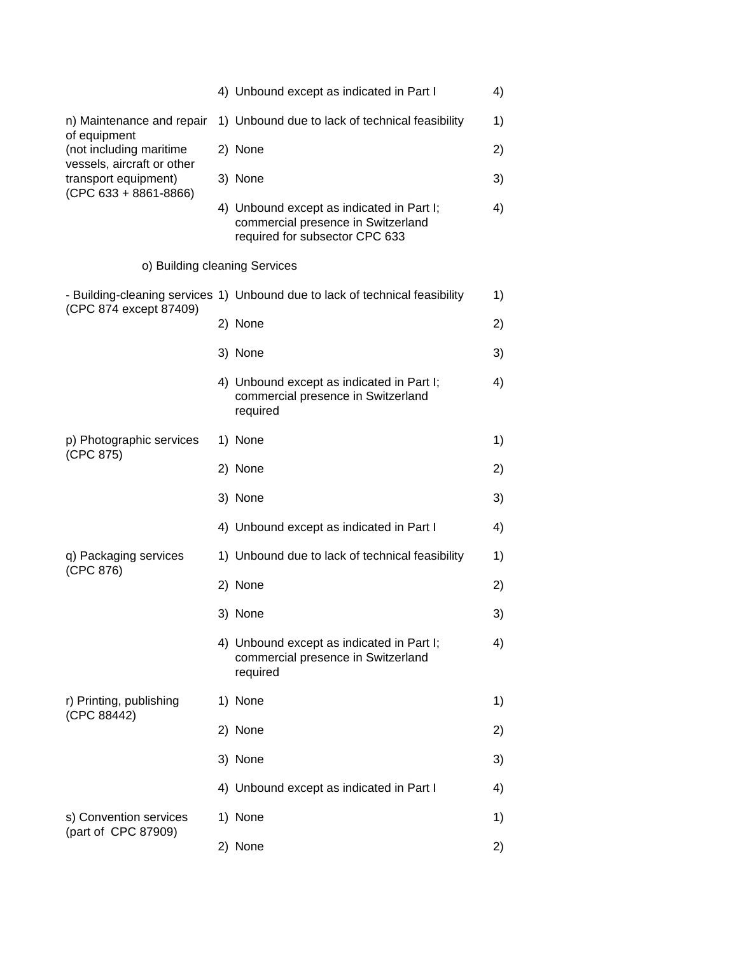|                                                                                 | 4) Unbound except as indicated in Part I                                                                          | 4) |
|---------------------------------------------------------------------------------|-------------------------------------------------------------------------------------------------------------------|----|
| n) Maintenance and repair<br>of equipment<br>(not including maritime            | 1) Unbound due to lack of technical feasibility                                                                   | 1) |
|                                                                                 | 2) None                                                                                                           | 2) |
| vessels, aircraft or other<br>transport equipment)<br>$(CPC 633 + 8861 - 8866)$ | 3) None                                                                                                           | 3) |
|                                                                                 | 4) Unbound except as indicated in Part I;<br>commercial presence in Switzerland<br>required for subsector CPC 633 | 4) |
| o) Building cleaning Services                                                   |                                                                                                                   |    |
|                                                                                 | - Building-cleaning services 1) Unbound due to lack of technical feasibility                                      | 1) |
| (CPC 874 except 87409)                                                          | 2) None                                                                                                           | 2) |
|                                                                                 | 3) None                                                                                                           | 3) |
|                                                                                 | 4) Unbound except as indicated in Part I;<br>commercial presence in Switzerland<br>required                       | 4) |
| p) Photographic services<br>(CPC 875)                                           | 1) None                                                                                                           | 1) |
|                                                                                 | 2) None                                                                                                           | 2) |
|                                                                                 | 3) None                                                                                                           | 3) |
|                                                                                 | 4) Unbound except as indicated in Part I                                                                          | 4) |
| q) Packaging services<br>(CPC 876)                                              | 1) Unbound due to lack of technical feasibility                                                                   | 1) |
|                                                                                 | 2) None                                                                                                           | 2) |
|                                                                                 | 3) None                                                                                                           | 3) |
|                                                                                 | 4) Unbound except as indicated in Part I;<br>commercial presence in Switzerland<br>required                       | 4) |
| r) Printing, publishing                                                         | 1) None                                                                                                           | 1) |
| (CPC 88442)                                                                     | 2) None                                                                                                           | 2) |
|                                                                                 | 3) None                                                                                                           | 3) |
|                                                                                 | 4) Unbound except as indicated in Part I                                                                          | 4) |
| s) Convention services                                                          | 1) None                                                                                                           | 1) |
| (part of CPC 87909)                                                             | 2) None                                                                                                           | 2) |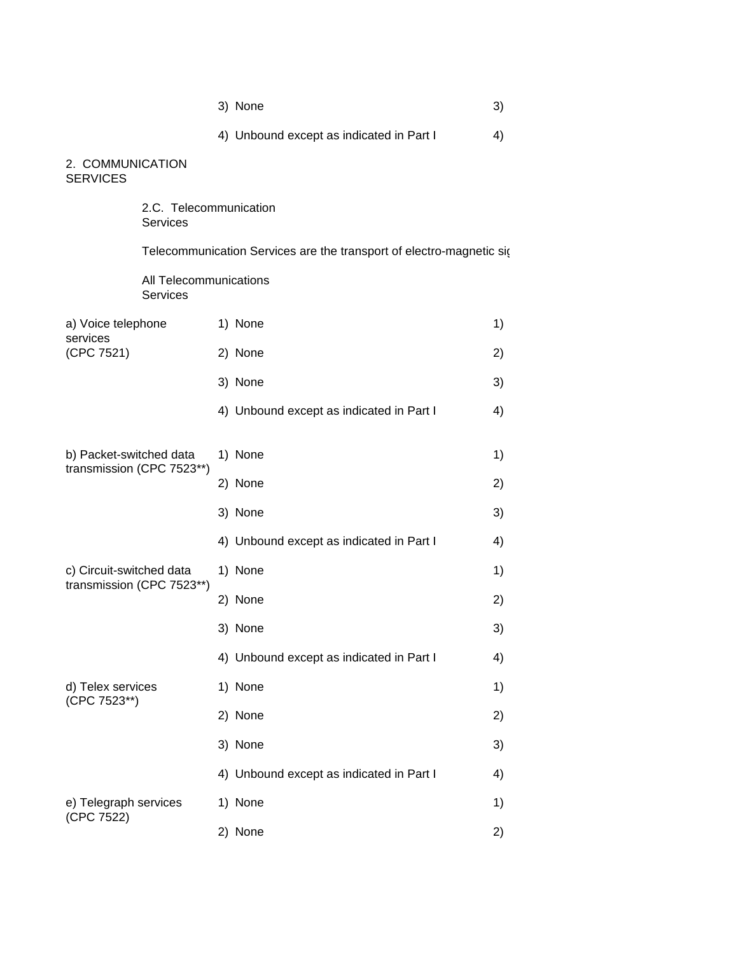| 3) None |  |
|---------|--|
|         |  |

4) Unbound except as indicated in Part I 4)

2. COMMUNICATION SERVICES

> 2.C. Telecommunication Services

Telecommunication Services are the transport of electro-magnetic sig

All Telecommunications Services

| a) Voice telephone<br>services<br>(CPC 7521)          | 1) None                                  | 1) |
|-------------------------------------------------------|------------------------------------------|----|
|                                                       | 2) None                                  | 2) |
|                                                       | 3) None                                  | 3) |
|                                                       | 4) Unbound except as indicated in Part I | 4) |
|                                                       |                                          |    |
| b) Packet-switched data<br>transmission (CPC 7523**)  | 1) None                                  | 1) |
|                                                       | 2) None                                  | 2) |
|                                                       | 3) None                                  | 3) |
|                                                       | 4) Unbound except as indicated in Part I | 4) |
| c) Circuit-switched data<br>transmission (CPC 7523**) | 1) None                                  | 1) |
|                                                       | 2) None                                  | 2) |
|                                                       | 3) None                                  | 3) |
|                                                       | 4) Unbound except as indicated in Part I | 4) |
| d) Telex services<br>(CPC 7523**)                     | 1) None                                  | 1) |
|                                                       | 2) None                                  | 2) |
|                                                       | 3) None                                  | 3) |
|                                                       | 4) Unbound except as indicated in Part I | 4) |
| e) Telegraph services                                 | 1) None                                  | 1) |
| (CPC 7522)                                            | 2) None                                  | 2) |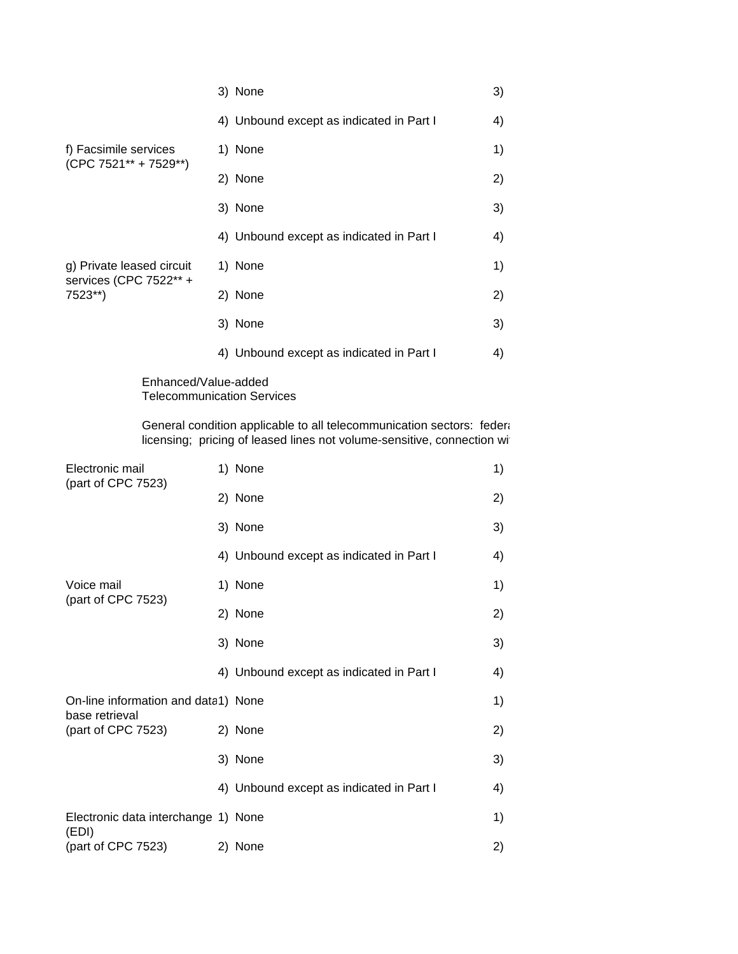|                                                                | 3) None                                  | 3) |
|----------------------------------------------------------------|------------------------------------------|----|
|                                                                | 4) Unbound except as indicated in Part I | 4) |
| f) Facsimile services<br>$(CPC 7521** + 7529**)$               | 1) None                                  | 1) |
|                                                                | 2) None                                  | 2) |
|                                                                | 3) None                                  | 3) |
| g) Private leased circuit<br>services (CPC 7522** +<br>7523**) | 4) Unbound except as indicated in Part I | 4) |
|                                                                | 1) None                                  | 1) |
|                                                                | 2) None                                  | 2) |
|                                                                | 3) None                                  | 3) |
|                                                                | 4) Unbound except as indicated in Part I | 4) |

Enhanced/Value-added Telecommunication Services

General condition applicable to all telecommunication sectors: federal condition applicable to all telecommunication sectors: federal licensing; pricing of leased lines not volume-sensitive, connection wi

| Electronic mail<br>(part of CPC 7523)                 | 1) None                                  | 1) |
|-------------------------------------------------------|------------------------------------------|----|
|                                                       | 2) None                                  | 2) |
|                                                       | 3) None                                  | 3) |
|                                                       | 4) Unbound except as indicated in Part I | 4) |
| Voice mail                                            | 1) None                                  | 1) |
| (part of CPC 7523)                                    | 2) None                                  | 2) |
|                                                       | 3) None                                  | 3) |
|                                                       | 4) Unbound except as indicated in Part I | 4) |
| On-line information and data1) None<br>base retrieval |                                          | 1) |
| (part of CPC 7523)                                    | 2) None                                  | 2) |
|                                                       | 3) None                                  | 3) |
|                                                       | 4) Unbound except as indicated in Part I | 4) |
| Electronic data interchange 1) None<br>(EDI)          |                                          | 1) |
| (part of CPC 7523)                                    | 2) None                                  | 2) |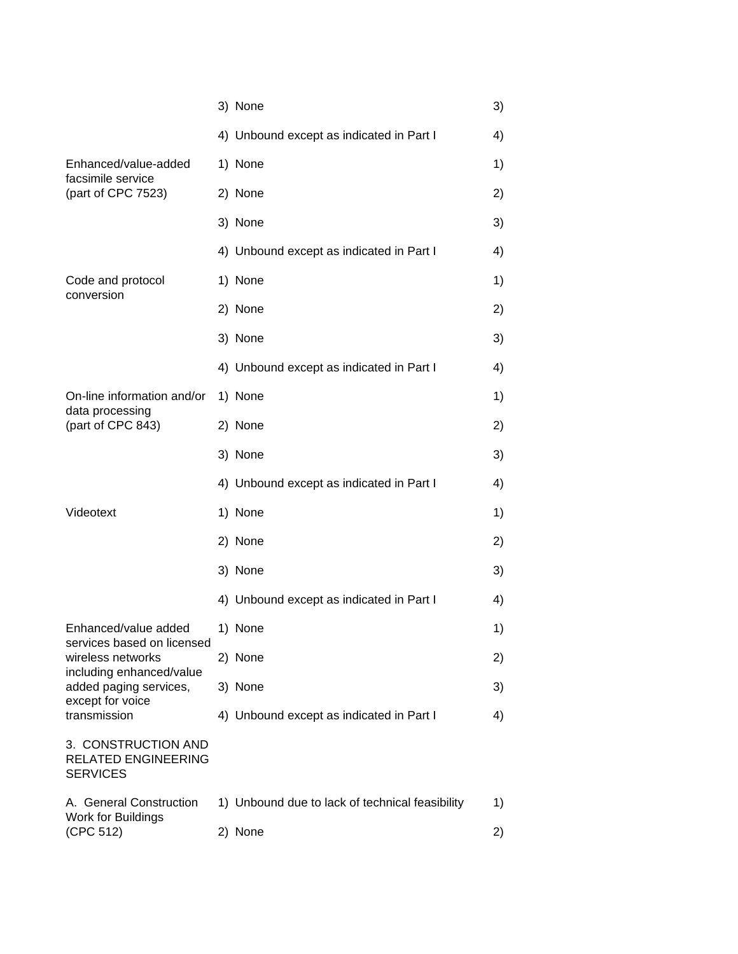|                                                                      | 3) None                                         | 3) |
|----------------------------------------------------------------------|-------------------------------------------------|----|
|                                                                      | 4) Unbound except as indicated in Part I        | 4) |
| Enhanced/value-added                                                 | 1) None                                         | 1) |
| facsimile service<br>(part of CPC 7523)                              | 2) None                                         | 2) |
|                                                                      | 3) None                                         | 3) |
|                                                                      | 4) Unbound except as indicated in Part I        | 4) |
| Code and protocol<br>conversion                                      | 1) None                                         | 1) |
|                                                                      | 2) None                                         | 2) |
|                                                                      | 3) None                                         | 3) |
|                                                                      | 4) Unbound except as indicated in Part I        | 4) |
| On-line information and/or<br>data processing                        | 1) None                                         | 1) |
| (part of CPC 843)                                                    | 2) None                                         | 2) |
|                                                                      | 3) None                                         | 3) |
|                                                                      | 4) Unbound except as indicated in Part I        | 4) |
| Videotext                                                            | 1) None                                         | 1) |
|                                                                      | 2) None                                         | 2) |
|                                                                      | 3) None                                         | 3) |
|                                                                      | 4) Unbound except as indicated in Part I        | 4) |
| Enhanced/value added<br>services based on licensed                   | 1) None                                         | 1) |
| wireless networks<br>including enhanced/value                        | 2) None                                         | 2) |
| added paging services,<br>except for voice                           | 3) None                                         | 3) |
| transmission                                                         | 4) Unbound except as indicated in Part I        | 4) |
| 3. CONSTRUCTION AND<br><b>RELATED ENGINEERING</b><br><b>SERVICES</b> |                                                 |    |
| A. General Construction<br>Work for Buildings                        | 1) Unbound due to lack of technical feasibility | 1) |
| (CPC 512)                                                            | 2) None                                         | 2) |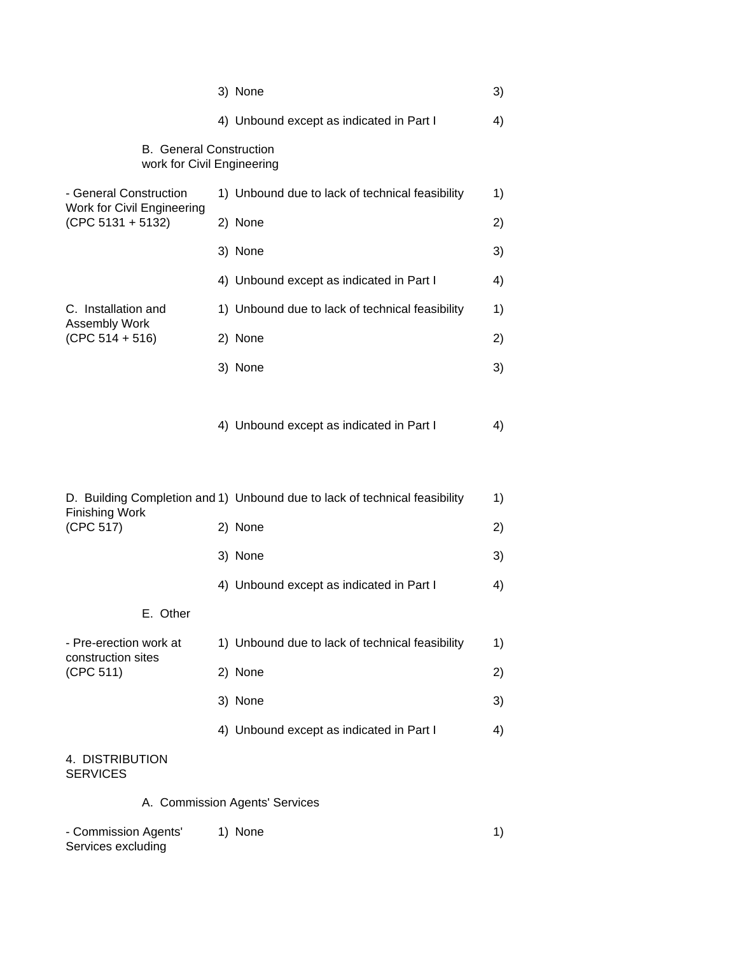|                                                              | 3) None                                                                    | 3) |
|--------------------------------------------------------------|----------------------------------------------------------------------------|----|
|                                                              | 4) Unbound except as indicated in Part I                                   | 4) |
| <b>B.</b> General Construction<br>work for Civil Engineering |                                                                            |    |
| - General Construction                                       | 1) Unbound due to lack of technical feasibility                            | 1) |
| Work for Civil Engineering<br>$(CPC 5131 + 5132)$            | 2) None                                                                    | 2) |
|                                                              | 3) None                                                                    | 3) |
|                                                              | 4) Unbound except as indicated in Part I                                   | 4) |
| C. Installation and                                          | 1) Unbound due to lack of technical feasibility                            | 1) |
| <b>Assembly Work</b><br>$(CPC 514 + 516)$                    | 2) None                                                                    | 2) |
|                                                              | 3) None                                                                    | 3) |
|                                                              | 4) Unbound except as indicated in Part I                                   | 4) |
|                                                              | D. Building Completion and 1) Unbound due to lack of technical feasibility | 1) |
| <b>Finishing Work</b><br>(CPC 517)                           | 2) None                                                                    | 2) |
|                                                              | 3) None                                                                    | 3) |
|                                                              | 4) Unbound except as indicated in Part I                                   | 4) |
| E. Other                                                     |                                                                            |    |
| - Pre-erection work at<br>construction sites                 | 1) Unbound due to lack of technical feasibility                            | 1) |
| (CPC 511)                                                    | 2) None                                                                    | 2) |
|                                                              | 3) None                                                                    | 3) |
|                                                              | 4) Unbound except as indicated in Part I                                   | 4) |
| 4. DISTRIBUTION<br><b>SERVICES</b>                           |                                                                            |    |
|                                                              | A. Commission Agents' Services                                             |    |

- Commission Agents' 1) None 1)

Services excluding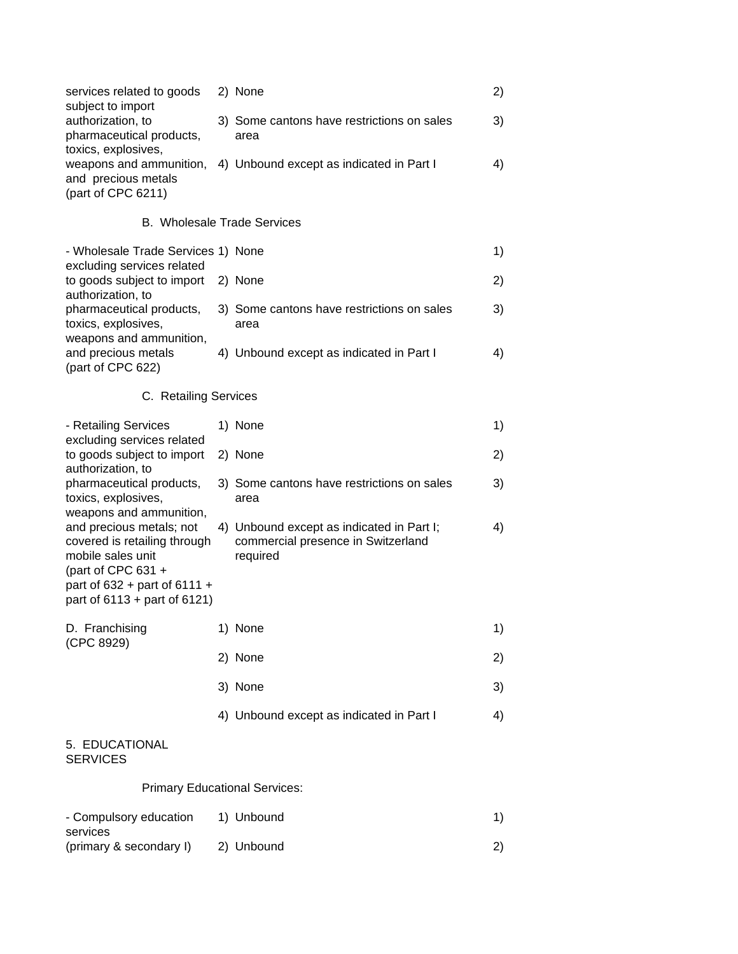| services related to goods<br>subject to import | 2) None                                                          |    |
|------------------------------------------------|------------------------------------------------------------------|----|
| authorization, to<br>pharmaceutical products,  | 3) Some cantons have restrictions on sales<br>area               | 3) |
| toxics, explosives,<br>and precious metals     | weapons and ammunition, 4) Unbound except as indicated in Part I | 4) |
| (part of CPC $6211$ )                          |                                                                  |    |

## B. Wholesale Trade Services

| - Wholesale Trade Services 1) None |                                            |    |
|------------------------------------|--------------------------------------------|----|
| excluding services related         |                                            |    |
| to goods subject to import 2) None |                                            | 2) |
| authorization, to                  |                                            |    |
| pharmaceutical products,           | 3) Some cantons have restrictions on sales | 3) |
| toxics, explosives,                | area                                       |    |
| weapons and ammunition,            |                                            |    |
| and precious metals                | 4) Unbound except as indicated in Part I   | 4) |
| (part of CPC 622)                  |                                            |    |

# C. Retailing Services

| - Retailing Services                                                                                                                                                           | 1) None                                                                                     | 1) |
|--------------------------------------------------------------------------------------------------------------------------------------------------------------------------------|---------------------------------------------------------------------------------------------|----|
| excluding services related<br>to goods subject to import<br>authorization, to                                                                                                  | 2) None                                                                                     | 2) |
| pharmaceutical products,<br>toxics, explosives,<br>weapons and ammunition,                                                                                                     | 3) Some cantons have restrictions on sales<br>area                                          | 3) |
| and precious metals; not<br>covered is retailing through<br>mobile sales unit<br>(part of CPC $631 +$<br>part of $632 +$ part of $6111 +$<br>part of $6113 +$ part of $6121$ ) | 4) Unbound except as indicated in Part I;<br>commercial presence in Switzerland<br>required | 4) |
| D. Franchising<br>(CPC 8929)                                                                                                                                                   | 1) None                                                                                     | 1) |
|                                                                                                                                                                                | 2) None                                                                                     | 2) |
|                                                                                                                                                                                | 3) None                                                                                     | 3) |
|                                                                                                                                                                                | 4) Unbound except as indicated in Part I                                                    | 4) |
| 5. EDUCATIONAL<br><b>SERVICES</b>                                                                                                                                              |                                                                                             |    |
| <b>Primary Educational Services:</b>                                                                                                                                           |                                                                                             |    |
|                                                                                                                                                                                |                                                                                             |    |

# - Compulsory education 1) Unbound 1 services (primary & secondary I) 2) Unbound 2)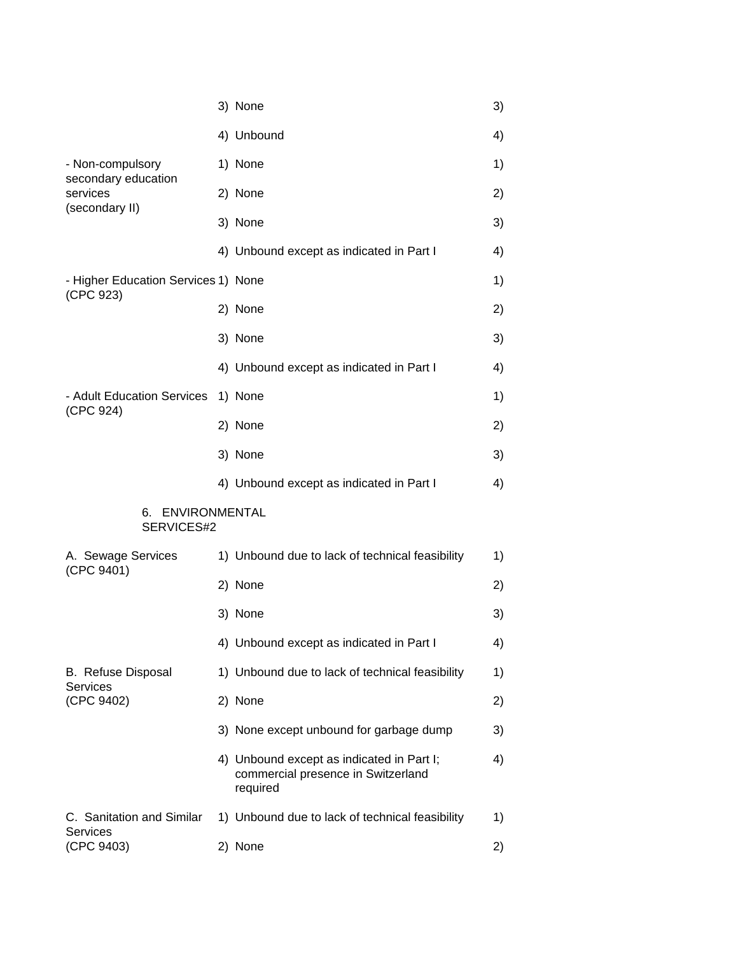|                                                     | 3) None                                                                                     | 3) |
|-----------------------------------------------------|---------------------------------------------------------------------------------------------|----|
|                                                     | 4) Unbound                                                                                  | 4) |
| - Non-compulsory<br>secondary education<br>services | 1) None                                                                                     | 1) |
|                                                     | 2) None                                                                                     | 2) |
| (secondary II)                                      | 3) None                                                                                     | 3) |
|                                                     | 4) Unbound except as indicated in Part I                                                    | 4) |
| - Higher Education Services 1) None                 |                                                                                             | 1) |
| (CPC 923)                                           | 2) None                                                                                     | 2) |
|                                                     | 3) None                                                                                     | 3) |
|                                                     | 4) Unbound except as indicated in Part I                                                    | 4) |
| - Adult Education Services                          | 1) None                                                                                     | 1) |
| (CPC 924)                                           | 2) None                                                                                     | 2) |
|                                                     | 3) None                                                                                     | 3) |
|                                                     | 4) Unbound except as indicated in Part I                                                    | 4) |
| 6. ENVIRONMENTAL<br>SERVICES#2                      |                                                                                             |    |
| A. Sewage Services                                  | 1) Unbound due to lack of technical feasibility                                             | 1) |
| (CPC 9401)                                          | 2) None                                                                                     | 2) |
|                                                     | 3) None                                                                                     | 3) |
|                                                     | 4) Unbound except as indicated in Part I                                                    | 4) |
| <b>B.</b> Refuse Disposal                           | 1) Unbound due to lack of technical feasibility                                             | 1) |
| <b>Services</b><br>(CPC 9402)                       | 2) None                                                                                     | 2) |
|                                                     | 3) None except unbound for garbage dump                                                     | 3) |
|                                                     | 4) Unbound except as indicated in Part I;<br>commercial presence in Switzerland<br>required | 4) |
| C. Sanitation and Similar                           | 1) Unbound due to lack of technical feasibility                                             | 1) |
| <b>Services</b><br>(CPC 9403)                       | 2) None                                                                                     | 2) |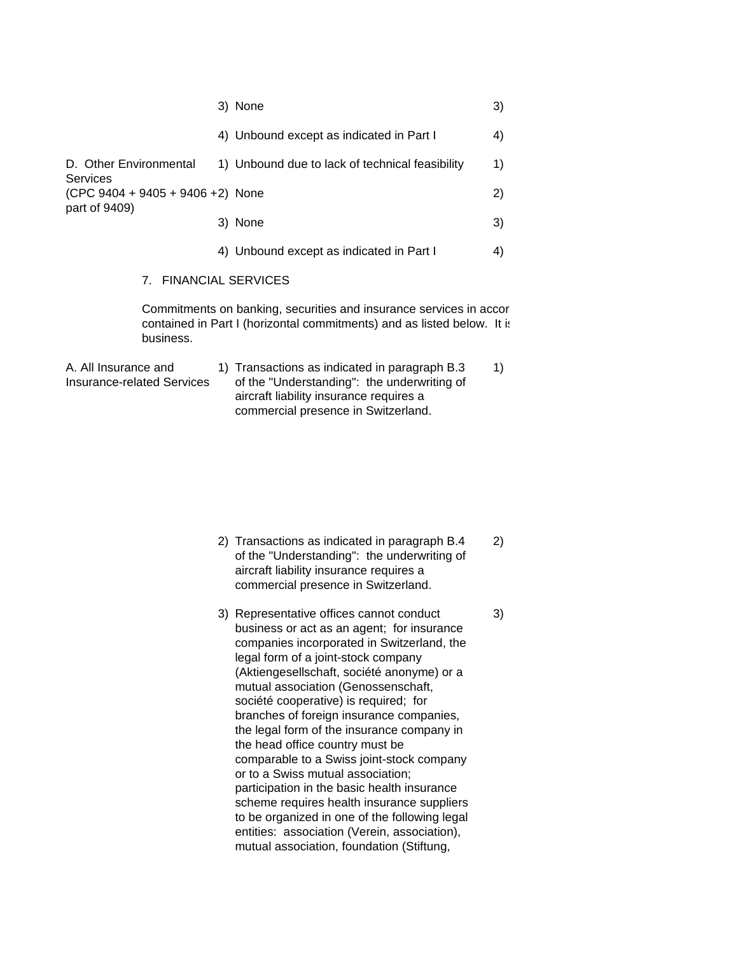|                                     | 3) None                                                                                                                                       | 3) |
|-------------------------------------|-----------------------------------------------------------------------------------------------------------------------------------------------|----|
|                                     | 4) Unbound except as indicated in Part I                                                                                                      | 4) |
| D. Other Environmental<br>Services  | 1) Unbound due to lack of technical feasibility                                                                                               | 1) |
| $(CPC 9404 + 9405 + 9406 + 2)$ None |                                                                                                                                               | 2) |
| part of 9409)                       | 3) None                                                                                                                                       | 3) |
|                                     | 4) Unbound except as indicated in Part I                                                                                                      | 4) |
| 7. FINANCIAL SERVICES               |                                                                                                                                               |    |
| business.                           | Commitments on banking, securities and insurance services in accor<br>contained in Part I (horizontal commitments) and as listed below. It is |    |
| A All Incurance and                 |                                                                                                                                               |    |

A. All Insurance and 1) Transactions as indicated in paragraph B.3 1) Insurance-related Services of the "Understanding": the underwriting of aircraft liability insurance requires a commercial presence in Switzerland.

- 2) Transactions as indicated in paragraph B.4 2) of the "Understanding": the underwriting of aircraft liability insurance requires a commercial presence in Switzerland.
- 3) Representative offices cannot conduct 3) business or act as an agent; for insurance companies incorporated in Switzerland, the legal form of a joint-stock company (Aktiengesellschaft, société anonyme) or a mutual association (Genossenschaft, société cooperative) is required; for branches of foreign insurance companies, the legal form of the insurance company in the head office country must be comparable to a Swiss joint-stock company or to a Swiss mutual association; participation in the basic health insurance scheme requires health insurance suppliers to be organized in one of the following legal entities: association (Verein, association), mutual association, foundation (Stiftung,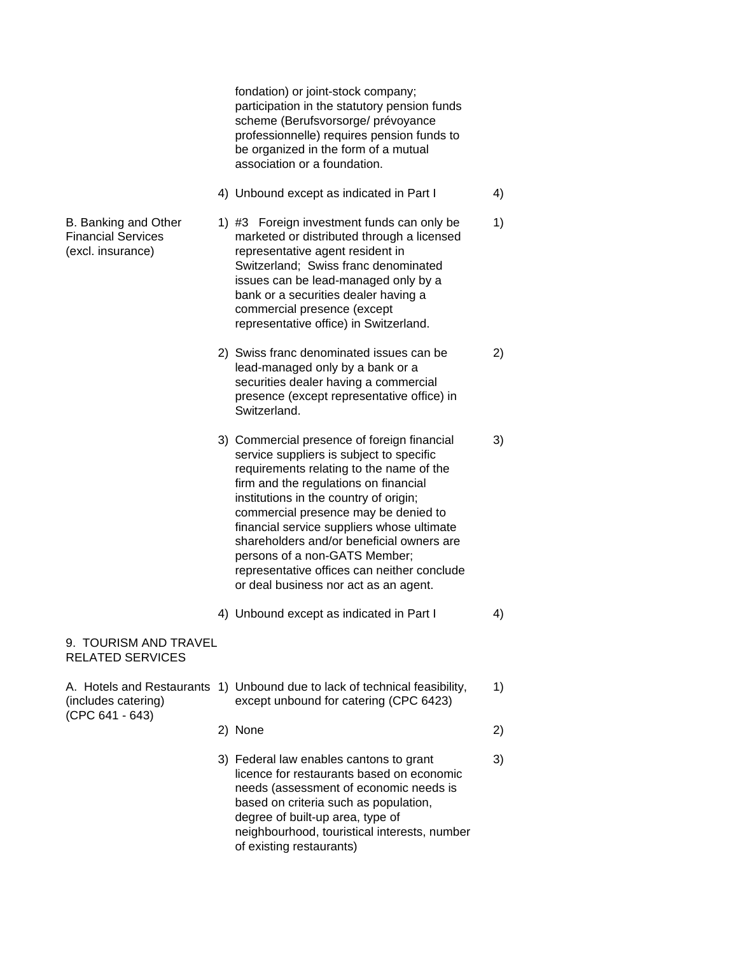fondation) or joint-stock company; participation in the statutory pension funds scheme (Berufsvorsorge/ prévoyance professionnelle) requires pension funds to be organized in the form of a mutual association or a foundation. 4) Unbound except as indicated in Part I 4 B. Banking and Other 1) #3 Foreign investment funds can only be 1) Financial Services marketed or distributed through a licensed (excl. insurance) representative agent resident in Switzerland; Swiss franc denominated issues can be lead-managed only by a bank or a securities dealer having a commercial presence (except representative office) in Switzerland. 2) Swiss franc denominated issues can be 2) lead-managed only by a bank or a securities dealer having a commercial presence (except representative office) in Switzerland. 3) Commercial presence of foreign financial 3) service suppliers is subject to specific requirements relating to the name of the firm and the regulations on financial institutions in the country of origin; commercial presence may be denied to financial service suppliers whose ultimate shareholders and/or beneficial owners are persons of a non-GATS Member; representative offices can neither conclude or deal business nor act as an agent. 4) Unbound except as indicated in Part I 4 9. TOURISM AND TRAVEL RELATED SERVICES A. Hotels and Restaurants 1) Unbound due to lack of technical feasibility, 1) (includes catering) except unbound for catering (CPC 6423) (CPC 641 - 643) 2) None 2) 3) Federal law enables cantons to grant 3) licence for restaurants based on economic needs (assessment of economic needs is based on criteria such as population, degree of built-up area, type of neighbourhood, touristical interests, number of existing restaurants)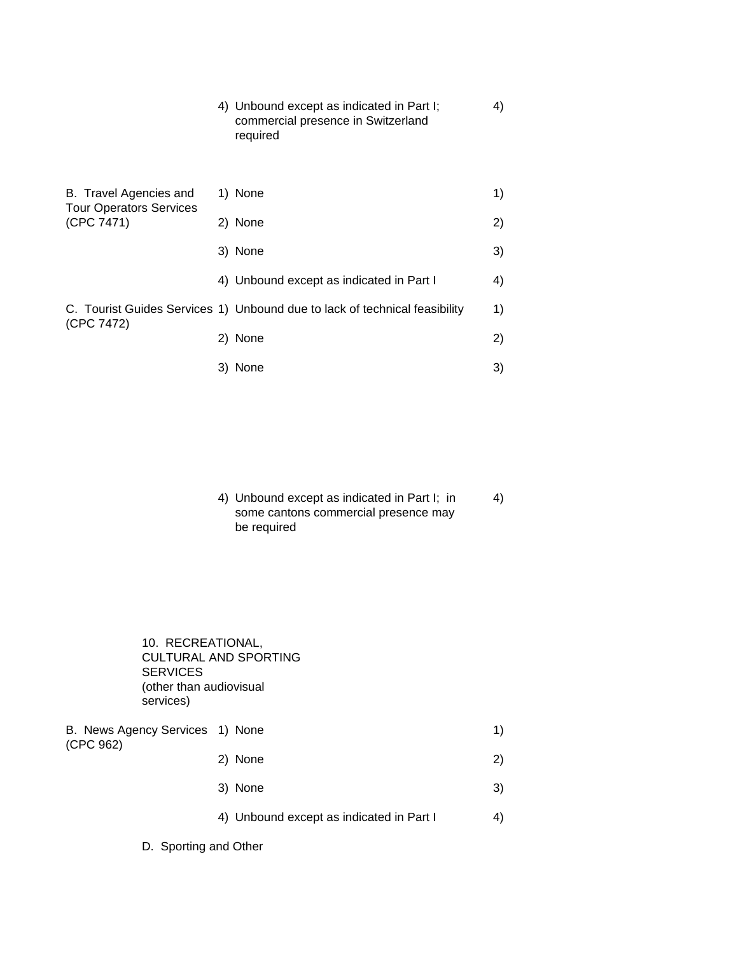4) Unbound except as indicated in Part I; 4) commercial presence in Switzerland required

| B. Travel Agencies and<br><b>Tour Operators Services</b> | 1) None                                                                    | 1) |
|----------------------------------------------------------|----------------------------------------------------------------------------|----|
| (CPC 7471)                                               | 2) None                                                                    | 2) |
|                                                          | 3) None                                                                    | 3) |
|                                                          | 4) Unbound except as indicated in Part I                                   | 4) |
| (CPC 7472)                                               | C. Tourist Guides Services 1) Unbound due to lack of technical feasibility | 1) |
|                                                          | 2) None                                                                    | 2) |
|                                                          | 3) None                                                                    | 3) |

4) Unbound except as indicated in Part I; in 4) some cantons commercial presence may be required

10. RECREATIONAL, CULTURAL AND SPORTING **SERVICES** (other than audiovisual services)

B. News Agency Services 1) None 1) (CPC 962) 2) None 2) 3) None 3)

- 4) Unbound except as indicated in Part I 4)
- D. Sporting and Other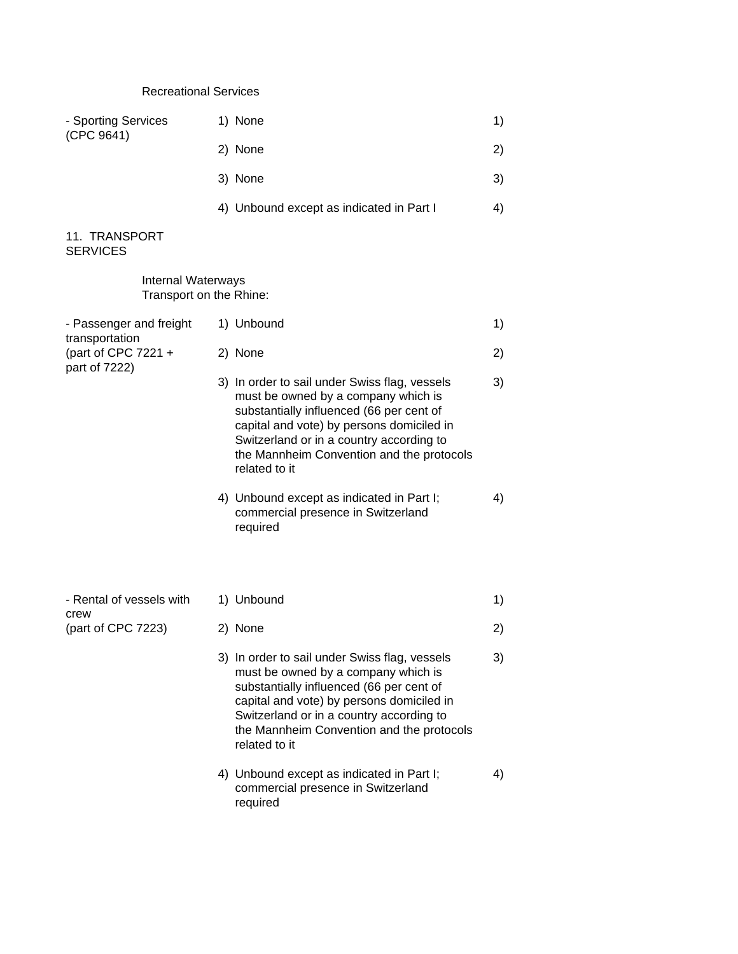## Recreational Services

| - Sporting Services<br>(CPC 9641) | 1) None                                  |    |
|-----------------------------------|------------------------------------------|----|
|                                   | 2) None                                  | 2) |
|                                   | 3) None                                  | 3) |
|                                   | 4) Unbound except as indicated in Part I | 4) |
|                                   |                                          |    |

## 11. TRANSPORT SERVICES

Internal Waterways Transport on the Rhine:

| - Passenger and freight<br>transportation | 1) Unbound                                                                                                                                                                                                                                                                              | 1) |
|-------------------------------------------|-----------------------------------------------------------------------------------------------------------------------------------------------------------------------------------------------------------------------------------------------------------------------------------------|----|
| (part of CPC $7221 +$<br>part of 7222)    | 2) None                                                                                                                                                                                                                                                                                 | 2) |
|                                           | 3) In order to sail under Swiss flag, vessels<br>must be owned by a company which is<br>substantially influenced (66 per cent of<br>capital and vote) by persons domiciled in<br>Switzerland or in a country according to<br>the Mannheim Convention and the protocols<br>related to it | 3) |
|                                           | 4) Unbound except as indicated in Part I;<br>commercial presence in Switzerland<br>required                                                                                                                                                                                             | 4) |
|                                           |                                                                                                                                                                                                                                                                                         |    |
| - Rental of vessels with<br>crew          | 1) Unbound                                                                                                                                                                                                                                                                              | 1) |
| (part of CPC 7223)                        | 2) None                                                                                                                                                                                                                                                                                 | 2) |
|                                           | 3) In order to sail under Swiss flag, vessels<br>must be owned by a company which is<br>substantially influenced (66 per cent of<br>capital and vote) by persons domiciled in<br>Switzerland or in a country according to<br>the Mannheim Convention and the protocols<br>related to it | 3) |
|                                           | 4) Unbound except as indicated in Part I;<br>commercial presence in Switzerland<br>required                                                                                                                                                                                             | 4) |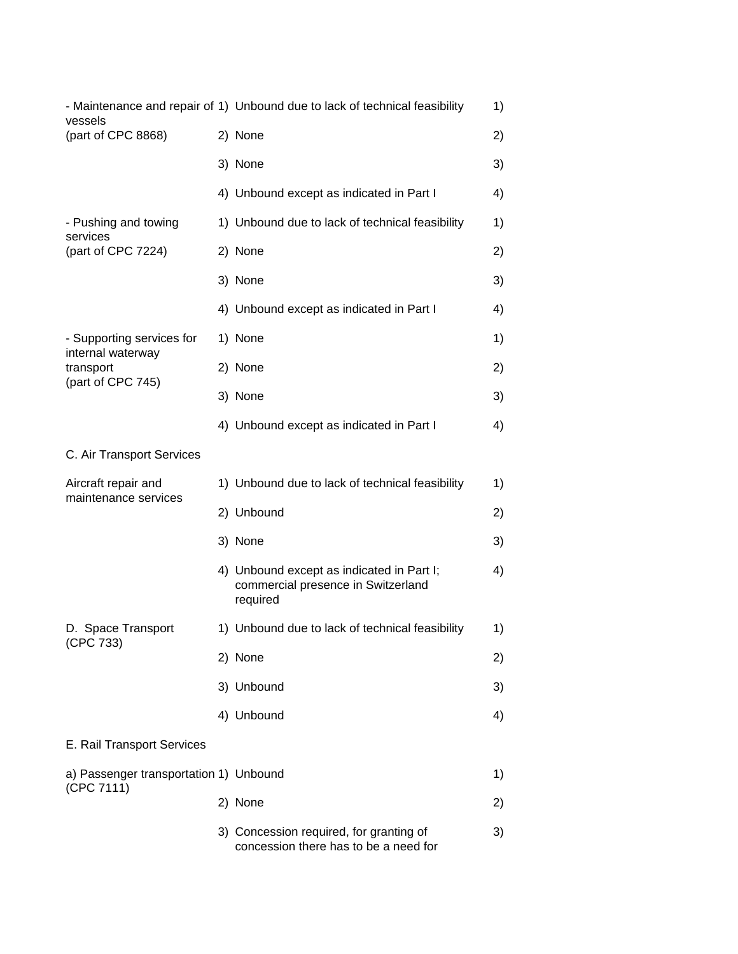| vessels                                              | - Maintenance and repair of 1) Unbound due to lack of technical feasibility                 | 1) |
|------------------------------------------------------|---------------------------------------------------------------------------------------------|----|
| (part of CPC 8868)                                   | 2) None                                                                                     | 2) |
|                                                      | 3) None                                                                                     | 3) |
|                                                      | 4) Unbound except as indicated in Part I                                                    | 4) |
| - Pushing and towing                                 | 1) Unbound due to lack of technical feasibility                                             | 1) |
| services<br>(part of CPC 7224)                       | 2) None                                                                                     | 2) |
|                                                      | 3) None                                                                                     | 3) |
|                                                      | 4) Unbound except as indicated in Part I                                                    | 4) |
| - Supporting services for<br>internal waterway       | 1) None                                                                                     | 1) |
| transport<br>(part of CPC 745)                       | 2) None                                                                                     | 2) |
|                                                      | 3) None                                                                                     | 3) |
|                                                      | 4) Unbound except as indicated in Part I                                                    | 4) |
| C. Air Transport Services                            |                                                                                             |    |
| Aircraft repair and<br>maintenance services          | 1) Unbound due to lack of technical feasibility                                             | 1) |
|                                                      | 2) Unbound                                                                                  | 2) |
|                                                      | 3) None                                                                                     | 3) |
|                                                      | 4) Unbound except as indicated in Part I;<br>commercial presence in Switzerland<br>required | 4) |
| D. Space Transport<br>(CPC 733)                      | 1) Unbound due to lack of technical feasibility                                             | 1) |
|                                                      | 2) None                                                                                     | 2) |
|                                                      | 3) Unbound                                                                                  | 3) |
|                                                      | 4) Unbound                                                                                  | 4) |
| E. Rail Transport Services                           |                                                                                             |    |
| a) Passenger transportation 1) Unbound<br>(CPC 7111) |                                                                                             | 1) |
|                                                      | 2) None                                                                                     | 2) |
|                                                      | 3) Concession required, for granting of<br>concession there has to be a need for            | 3) |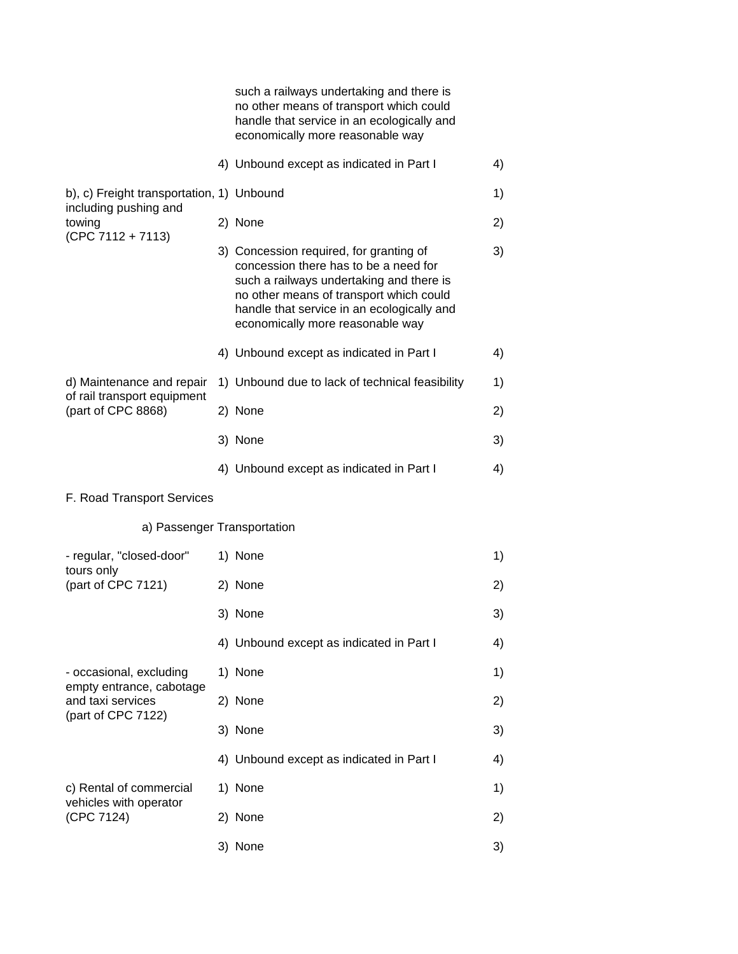|                                                                    |  | such a railways undertaking and there is<br>no other means of transport which could<br>handle that service in an ecologically and<br>economically more reasonable way                                                                                     |    |
|--------------------------------------------------------------------|--|-----------------------------------------------------------------------------------------------------------------------------------------------------------------------------------------------------------------------------------------------------------|----|
|                                                                    |  | 4) Unbound except as indicated in Part I                                                                                                                                                                                                                  | 4) |
| b), c) Freight transportation, 1) Unbound<br>including pushing and |  |                                                                                                                                                                                                                                                           | 1) |
| towing<br>$(CPC 7112 + 7113)$                                      |  | 2) None                                                                                                                                                                                                                                                   | 2) |
|                                                                    |  | 3) Concession required, for granting of<br>concession there has to be a need for<br>such a railways undertaking and there is<br>no other means of transport which could<br>handle that service in an ecologically and<br>economically more reasonable way | 3) |
|                                                                    |  | 4) Unbound except as indicated in Part I                                                                                                                                                                                                                  | 4) |
| d) Maintenance and repair<br>of rail transport equipment           |  | 1) Unbound due to lack of technical feasibility                                                                                                                                                                                                           | 1) |
| (part of CPC 8868)                                                 |  | 2) None                                                                                                                                                                                                                                                   | 2) |
|                                                                    |  | 3) None                                                                                                                                                                                                                                                   | 3) |
|                                                                    |  | 4) Unbound except as indicated in Part I                                                                                                                                                                                                                  | 4) |
| F. Road Transport Services                                         |  |                                                                                                                                                                                                                                                           |    |
| a) Passenger Transportation                                        |  |                                                                                                                                                                                                                                                           |    |
| - regular, "closed-door"<br>tours only                             |  | 1) None                                                                                                                                                                                                                                                   | 1) |
| (part of CPC 7121)                                                 |  | 2) None                                                                                                                                                                                                                                                   | 2) |
|                                                                    |  | 3) None                                                                                                                                                                                                                                                   | 3) |
|                                                                    |  | 4) Unbound except as indicated in Part I                                                                                                                                                                                                                  | 4) |
| - occasional, excluding                                            |  | 1) None                                                                                                                                                                                                                                                   | 1) |
| empty entrance, cabotage<br>and taxi services                      |  | 2) None                                                                                                                                                                                                                                                   | 2) |
| (part of CPC 7122)                                                 |  | 3) None                                                                                                                                                                                                                                                   | 3) |
|                                                                    |  | 4) Unbound except as indicated in Part I                                                                                                                                                                                                                  | 4) |
| c) Rental of commercial<br>vehicles with operator                  |  | 1) None                                                                                                                                                                                                                                                   | 1) |
| (CPC 7124)                                                         |  | 2) None                                                                                                                                                                                                                                                   | 2) |
|                                                                    |  | 3) None                                                                                                                                                                                                                                                   | 3) |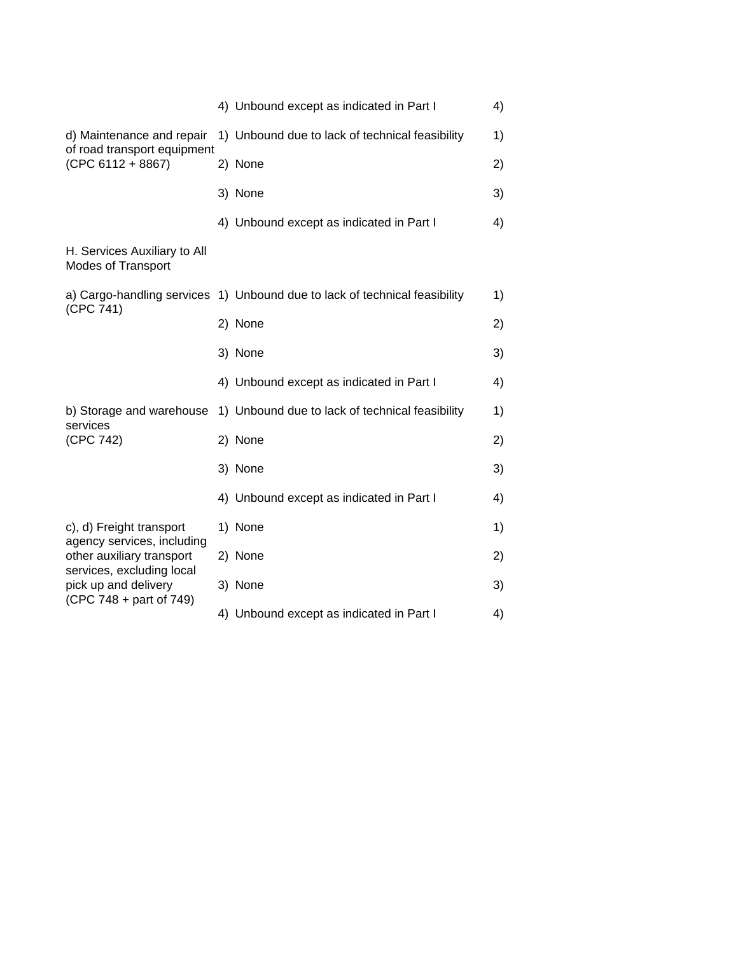|                                                                                                                                         | 4) Unbound except as indicated in Part I                                   | 4) |
|-----------------------------------------------------------------------------------------------------------------------------------------|----------------------------------------------------------------------------|----|
| d) Maintenance and repair<br>of road transport equipment<br>$(CPC 6112 + 8867)$                                                         | 1) Unbound due to lack of technical feasibility                            | 1) |
|                                                                                                                                         | 2) None                                                                    | 2) |
|                                                                                                                                         | 3) None                                                                    | 3) |
|                                                                                                                                         | 4) Unbound except as indicated in Part I                                   | 4) |
| H. Services Auxiliary to All<br><b>Modes of Transport</b>                                                                               |                                                                            |    |
| (CPC 741)                                                                                                                               | a) Cargo-handling services 1) Unbound due to lack of technical feasibility | 1) |
|                                                                                                                                         | 2) None                                                                    | 2) |
|                                                                                                                                         | 3) None                                                                    | 3) |
|                                                                                                                                         | 4) Unbound except as indicated in Part I                                   | 4) |
| b) Storage and warehouse<br>services<br>(CPC 742)                                                                                       | 1) Unbound due to lack of technical feasibility                            | 1) |
|                                                                                                                                         | 2) None                                                                    | 2) |
|                                                                                                                                         | 3) None                                                                    | 3) |
|                                                                                                                                         | 4) Unbound except as indicated in Part I                                   | 4) |
| c), d) Freight transport                                                                                                                | 1) None                                                                    | 1) |
| agency services, including<br>other auxiliary transport<br>services, excluding local<br>pick up and delivery<br>(CPC 748 + part of 749) | 2) None                                                                    | 2) |
|                                                                                                                                         | 3) None                                                                    | 3) |
|                                                                                                                                         | 4) Unbound except as indicated in Part I                                   | 4) |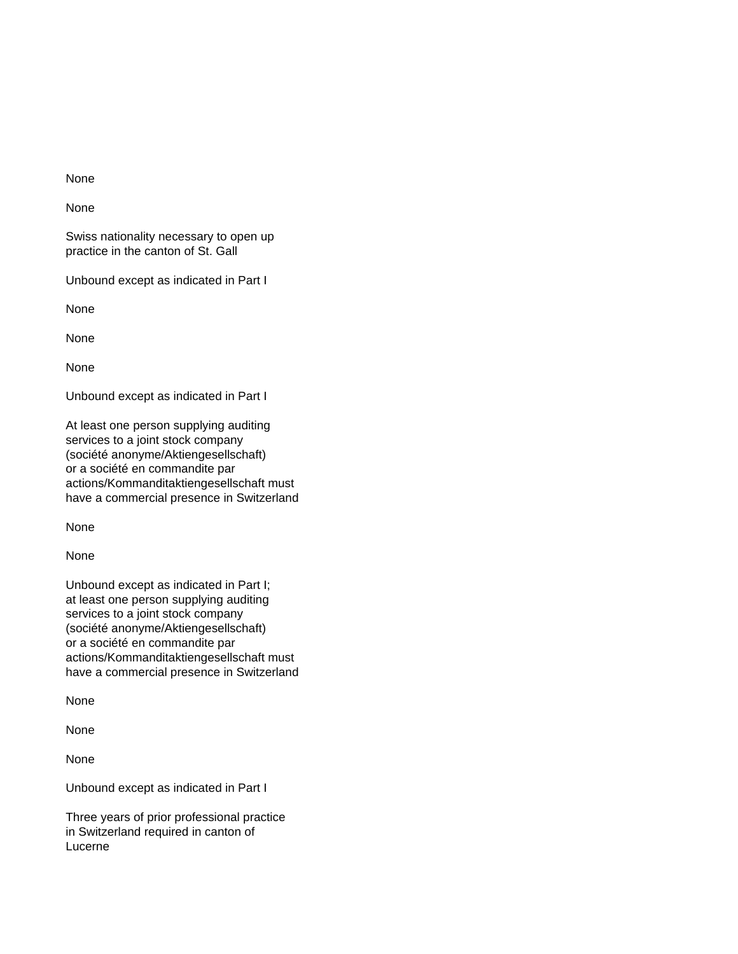None

Swiss nationality necessary to open up practice in the canton of St. Gall

Unbound except as indicated in Part I

None

None

None

Unbound except as indicated in Part I

At least one person supplying auditing services to a joint stock company (société anonyme/Aktiengesellschaft) or a société en commandite par actions/Kommanditaktiengesellschaft must have a commercial presence in Switzerland

None

None

Unbound except as indicated in Part I; at least one person supplying auditing services to a joint stock company (société anonyme/Aktiengesellschaft) or a société en commandite par actions/Kommanditaktiengesellschaft must have a commercial presence in Switzerland

None

None

None

Unbound except as indicated in Part I

Three years of prior professional practice in Switzerland required in canton of Lucerne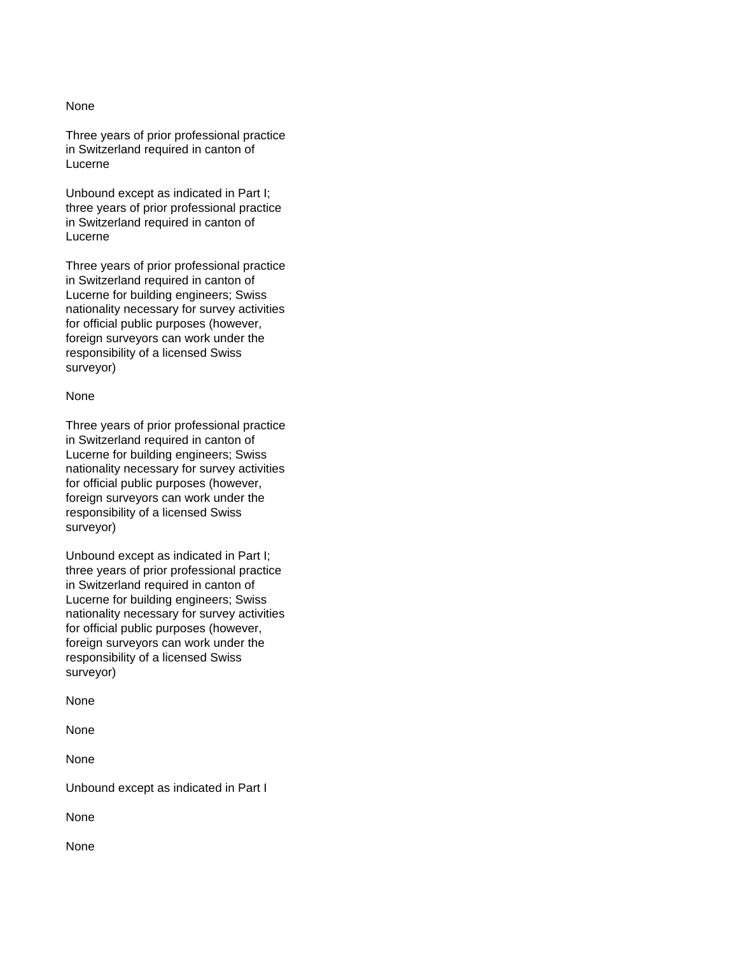Three years of prior professional practice in Switzerland required in canton of Lucerne

Unbound except as indicated in Part I; three years of prior professional practice in Switzerland required in canton of Lucerne

Three years of prior professional practice in Switzerland required in canton of Lucerne for building engineers; Swiss nationality necessary for survey activities for official public purposes (however, foreign surveyors can work under the responsibility of a licensed Swiss surveyor)

#### None

Three years of prior professional practice in Switzerland required in canton of Lucerne for building engineers; Swiss nationality necessary for survey activities for official public purposes (however, foreign surveyors can work under the responsibility of a licensed Swiss surveyor)

Unbound except as indicated in Part I; three years of prior professional practice in Switzerland required in canton of Lucerne for building engineers; Swiss nationality necessary for survey activities for official public purposes (however, foreign surveyors can work under the responsibility of a licensed Swiss surveyor)

None

None

None

Unbound except as indicated in Part I

None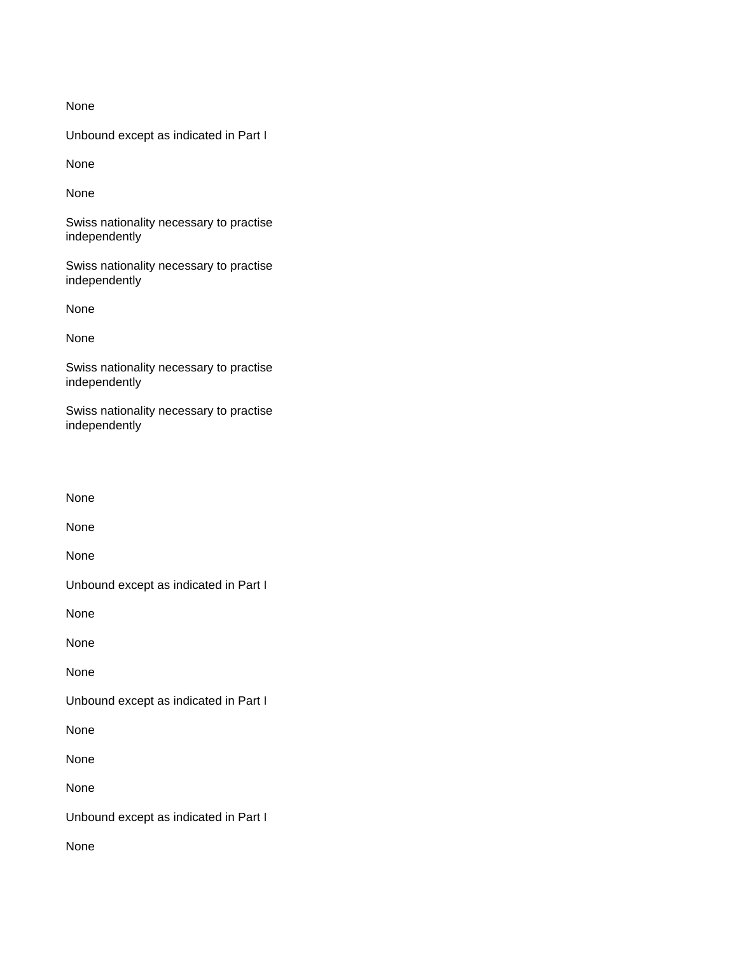Unbound except as indicated in Part I

None

None

Swiss nationality necessary to practise independently

Swiss nationality necessary to practise independently

None

None

Swiss nationality necessary to practise independently

Swiss nationality necessary to practise independently

None

None

None

Unbound except as indicated in Part I

None

None

None

Unbound except as indicated in Part I

None

None

None

Unbound except as indicated in Part I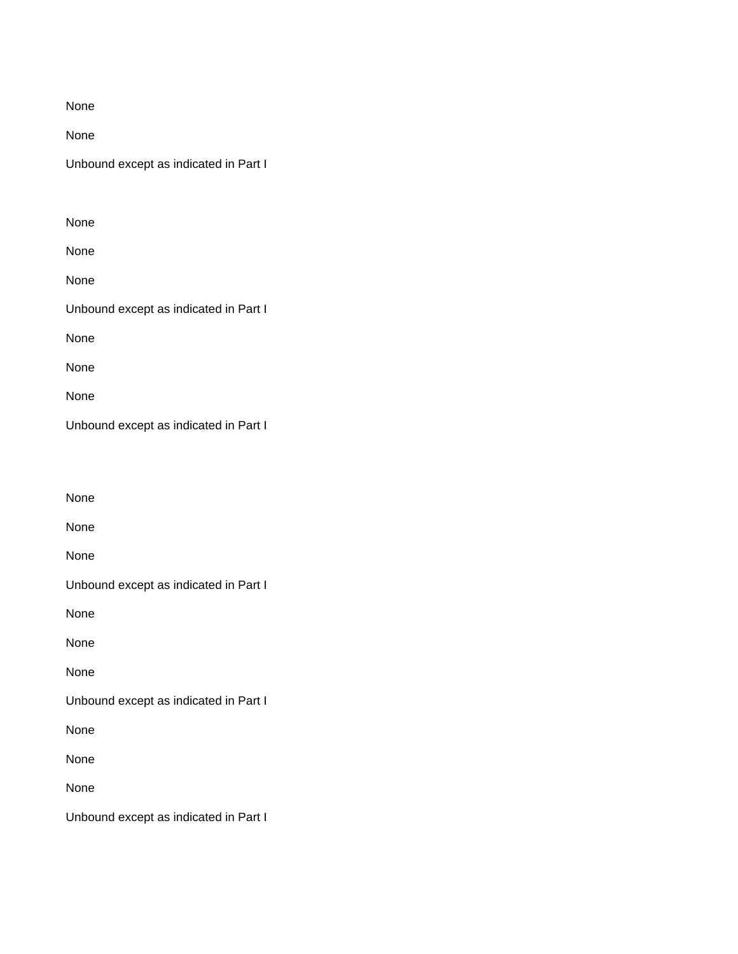None

Unbound except as indicated in Part I

| None                                  |  |
|---------------------------------------|--|
| None                                  |  |
| None                                  |  |
| Unbound except as indicated in Part I |  |
| None                                  |  |
| None                                  |  |
| None                                  |  |
| Unbound except as indicated in Part I |  |

None None None Unbound except as indicated in Part I None None None Unbound except as indicated in Part I None None None Unbound except as indicated in Part I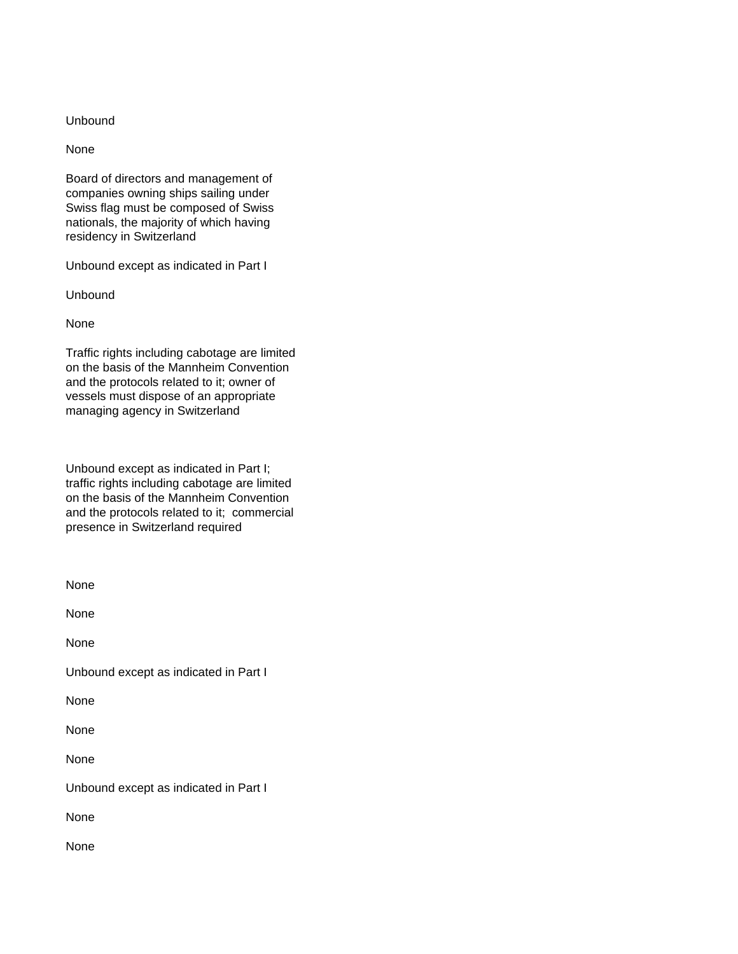### Unbound

None

Board of directors and management of companies owning ships sailing under Swiss flag must be composed of Swiss nationals, the majority of which having residency in Switzerland

Unbound except as indicated in Part I

Unbound

None

Traffic rights including cabotage are limited on the basis of the Mannheim Convention and the protocols related to it; owner of vessels must dispose of an appropriate managing agency in Switzerland

Unbound except as indicated in Part I; traffic rights including cabotage are limited on the basis of the Mannheim Convention and the protocols related to it; commercial presence in Switzerland required

| None                                  |
|---------------------------------------|
| None                                  |
| None                                  |
| Unbound except as indicated in Part I |
| None                                  |
| None                                  |
| None                                  |
| Unbound except as indicated in Part I |
| None                                  |
| None                                  |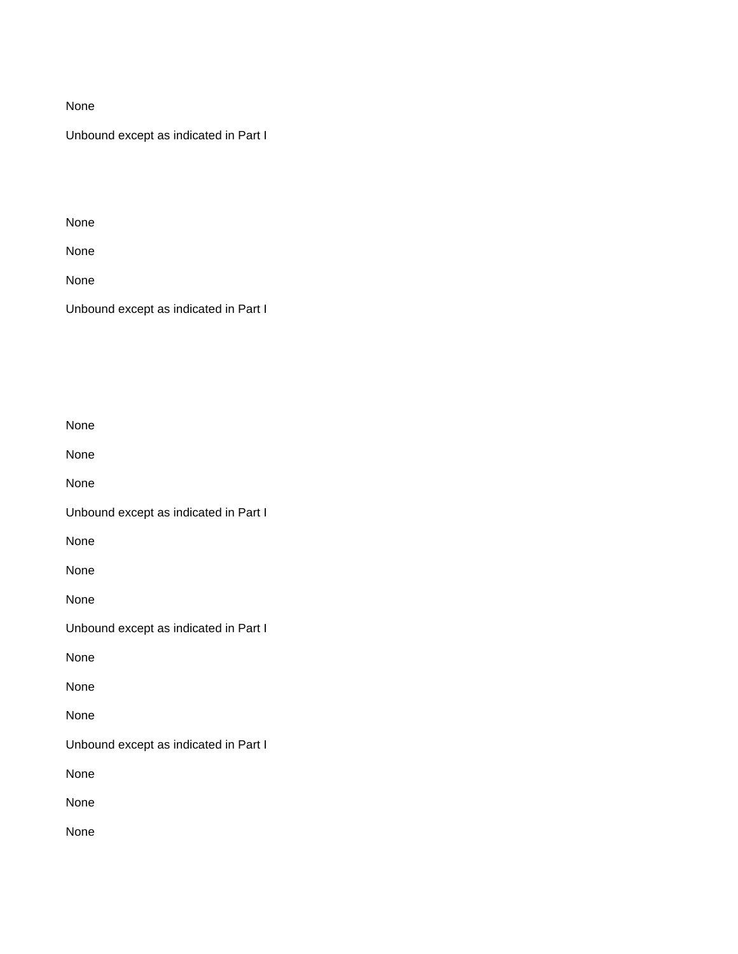Unbound except as indicated in Part I

None

None

None

Unbound except as indicated in Part I

| None                                  |
|---------------------------------------|
| None                                  |
| None                                  |
| Unbound except as indicated in Part I |
| None                                  |
| None                                  |
| None                                  |
| Unbound except as indicated in Part I |
| None                                  |
| None                                  |
| None                                  |
| Unbound except as indicated in Part I |
| None                                  |
| None                                  |
| None                                  |
|                                       |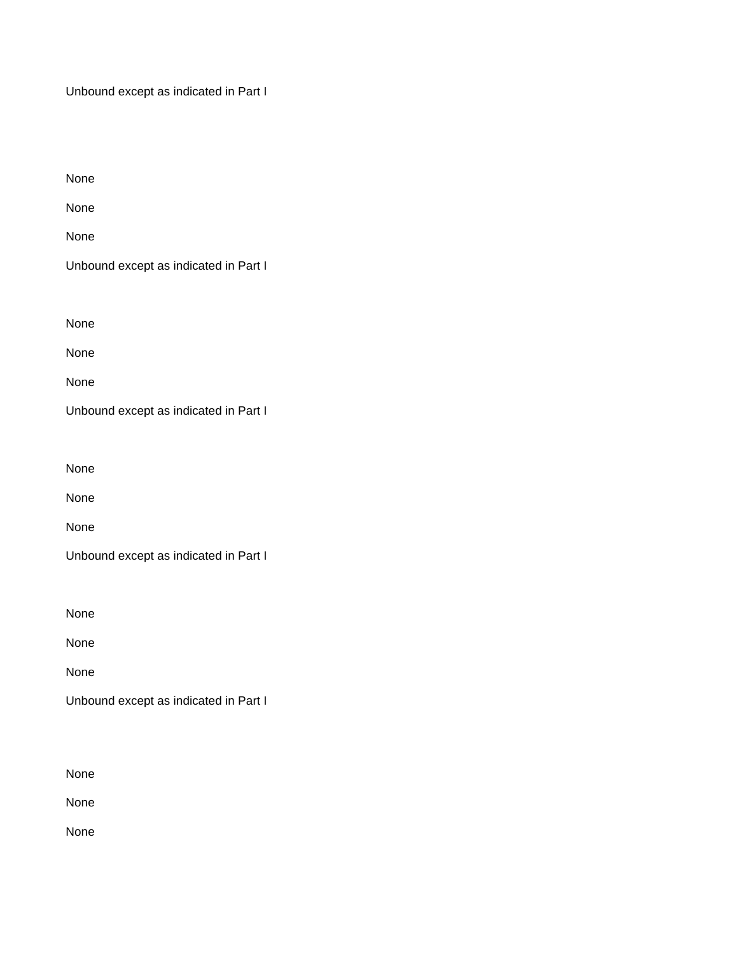Unbound except as indicated in Part I

| None                                  |
|---------------------------------------|
| None                                  |
| None                                  |
| Unbound except as indicated in Part I |
|                                       |
| None                                  |
| None                                  |
| None                                  |
| Unbound except as indicated in Part I |
|                                       |
| None                                  |

None

None

| Unbound except as indicated in Part I |  |  |
|---------------------------------------|--|--|
|---------------------------------------|--|--|

None

None

None

Unbound except as indicated in Part I

None

None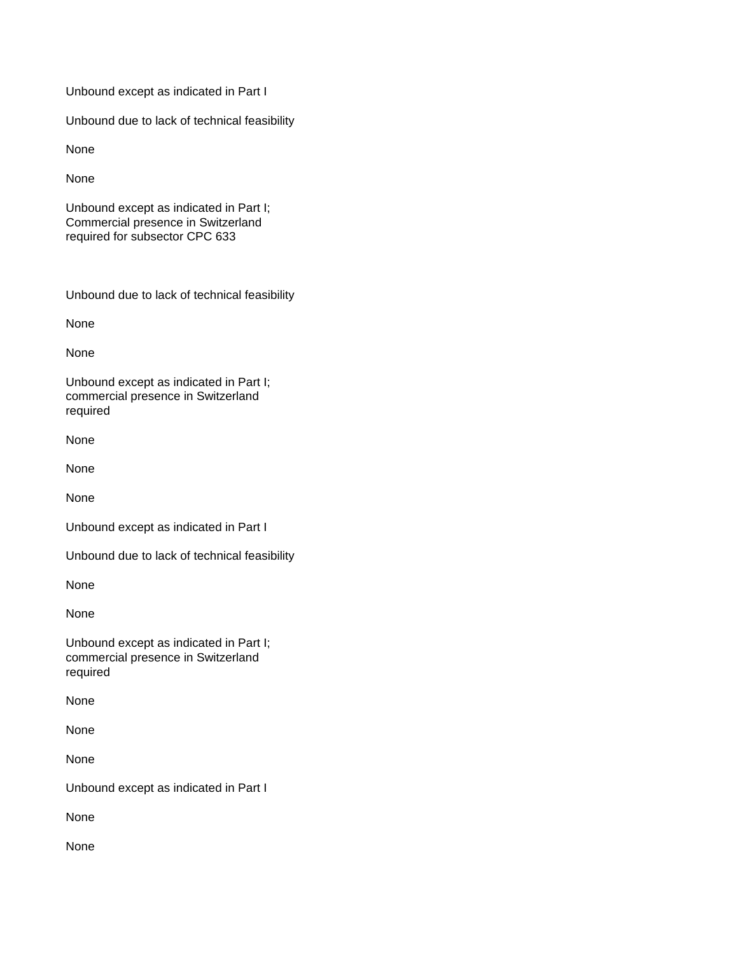Unbound except as indicated in Part I

Unbound due to lack of technical feasibility

None

None

Unbound except as indicated in Part I; Commercial presence in Switzerland required for subsector CPC 633

Unbound due to lack of technical feasibility

None

None

Unbound except as indicated in Part I; commercial presence in Switzerland required

None

None

None

Unbound except as indicated in Part I

Unbound due to lack of technical feasibility

None

None

Unbound except as indicated in Part I; commercial presence in Switzerland required

None

None

None

Unbound except as indicated in Part I

None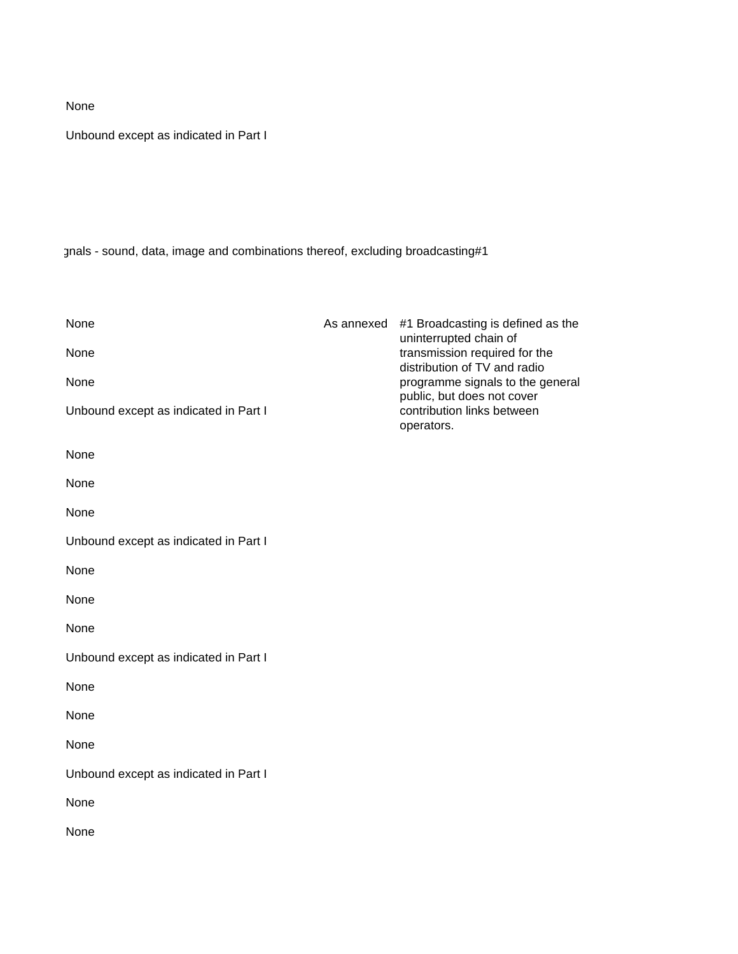Unbound except as indicated in Part I

gnals - sound, data, image and combinations thereof, excluding broadcasting#1

| None                                  | As annexed #1 Broadcasting is defined as the<br>uninterrupted chain of |
|---------------------------------------|------------------------------------------------------------------------|
| None                                  | transmission required for the<br>distribution of TV and radio          |
| None                                  | programme signals to the general<br>public, but does not cover         |
| Unbound except as indicated in Part I | contribution links between<br>operators.                               |
| None                                  |                                                                        |
| None                                  |                                                                        |
| None                                  |                                                                        |
| Unbound except as indicated in Part I |                                                                        |
| None                                  |                                                                        |
| None                                  |                                                                        |
| None                                  |                                                                        |
| Unbound except as indicated in Part I |                                                                        |
| None                                  |                                                                        |
| None                                  |                                                                        |
| None                                  |                                                                        |
| Unbound except as indicated in Part I |                                                                        |
| None                                  |                                                                        |
| None                                  |                                                                        |
|                                       |                                                                        |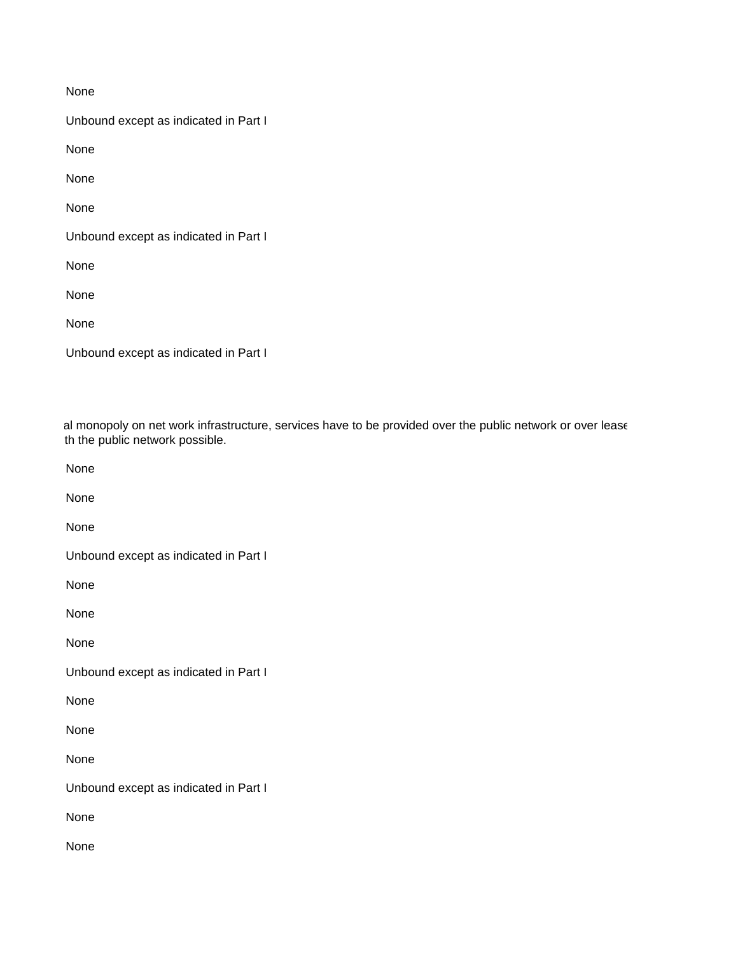Unbound except as indicated in Part I

None

None

None

Unbound except as indicated in Part I

None

None

None

|  | Unbound except as indicated in Part I |  |  |
|--|---------------------------------------|--|--|
|  |                                       |  |  |

al monopoly on net work infrastructure, services have to be provided over the public network or over lease th the public network possible.

None

None

None

Unbound except as indicated in Part I

None

None

None

Unbound except as indicated in Part I

None

None

None

Unbound except as indicated in Part I

None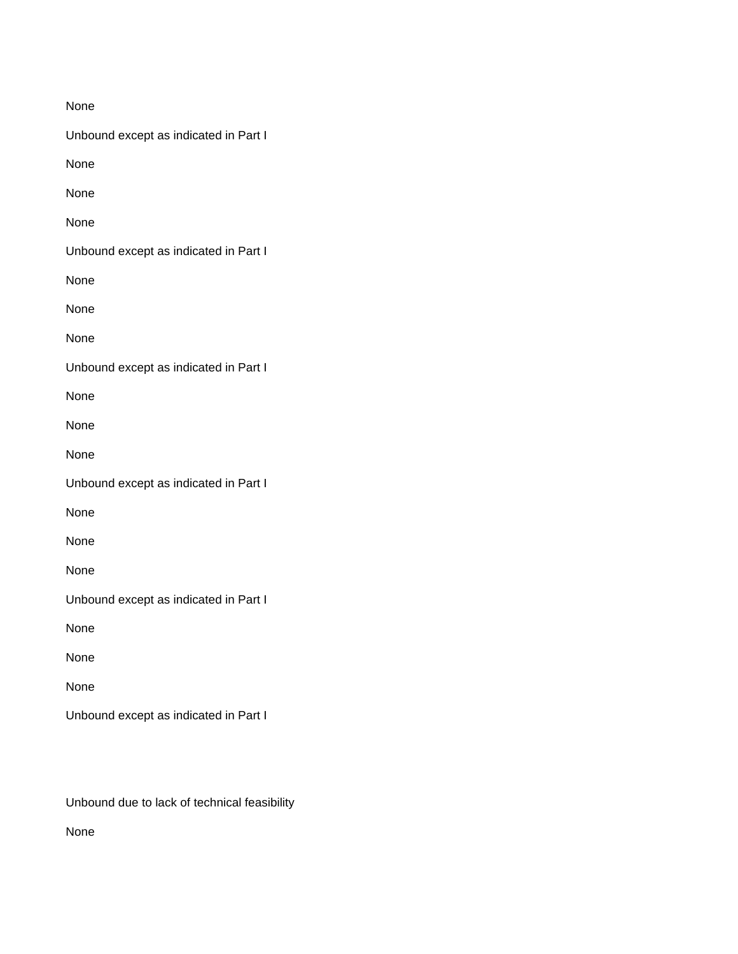| None                                  |
|---------------------------------------|
| Unbound except as indicated in Part I |
| None                                  |
| None                                  |
| None                                  |
| Unbound except as indicated in Part I |
| None                                  |
| None                                  |
| None                                  |
| Unbound except as indicated in Part I |
| None                                  |
| None                                  |
| None                                  |
| Unbound except as indicated in Part I |
| None                                  |
| None                                  |
| None                                  |
| Unbound except as indicated in Part I |
| None                                  |
| None                                  |
| None                                  |
| Unbound except as indicated in Part I |

Unbound due to lack of technical feasibility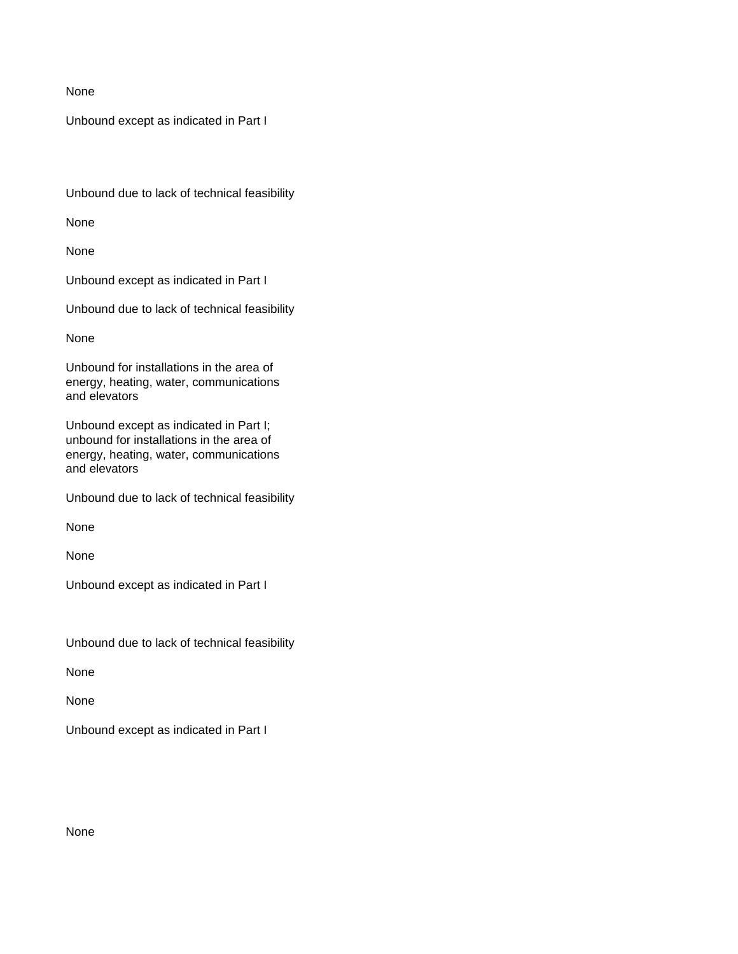Unbound except as indicated in Part I

Unbound due to lack of technical feasibility

None

None

Unbound except as indicated in Part I

Unbound due to lack of technical feasibility

None

Unbound for installations in the area of energy, heating, water, communications and elevators

Unbound except as indicated in Part I; unbound for installations in the area of energy, heating, water, communications and elevators

Unbound due to lack of technical feasibility

None

None

Unbound except as indicated in Part I

Unbound due to lack of technical feasibility

None

None

Unbound except as indicated in Part I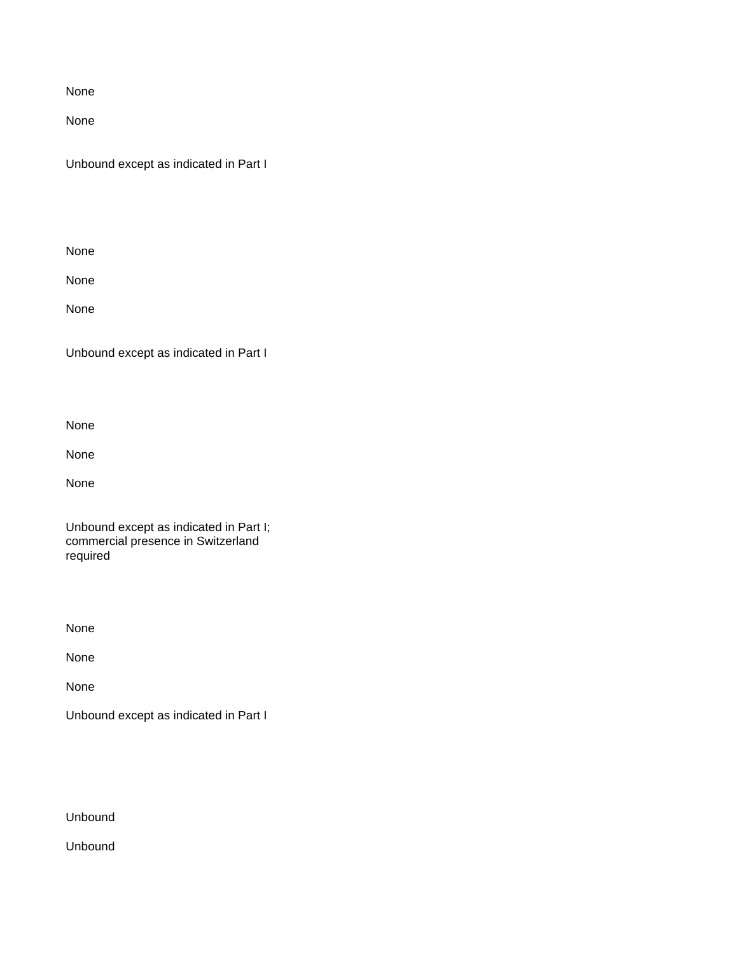None

Unbound except as indicated in Part I

None

None

None

Unbound except as indicated in Part I

None

None

None

Unbound except as indicated in Part I; commercial presence in Switzerland required

None

None

None

Unbound except as indicated in Part I

Unbound

Unbound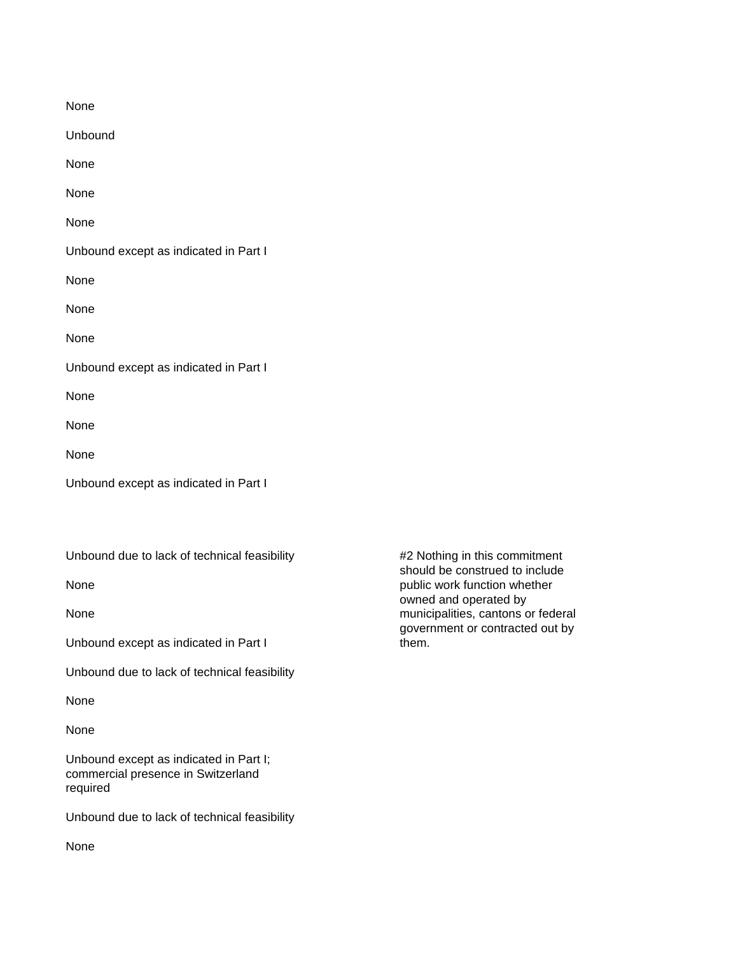| None                                  |
|---------------------------------------|
| Unbound                               |
| None                                  |
| None                                  |
| None                                  |
| Unbound except as indicated in Part I |
| None                                  |
| None                                  |
| None                                  |
| Unbound except as indicated in Part I |
| None                                  |
| None                                  |
| None                                  |
| Unbound except as indicated in Part I |

Unbound due to lack of technical feasibility **#2 Nothing in this commitment** 

Unbound except as indicated in Part I them.

Unbound due to lack of technical feasibility

None

None

Unbound except as indicated in Part I; commercial presence in Switzerland required

Unbound due to lack of technical feasibility

should be construed to include None public work function whether owned and operated by None municipalities, cantons or federal government or contracted out by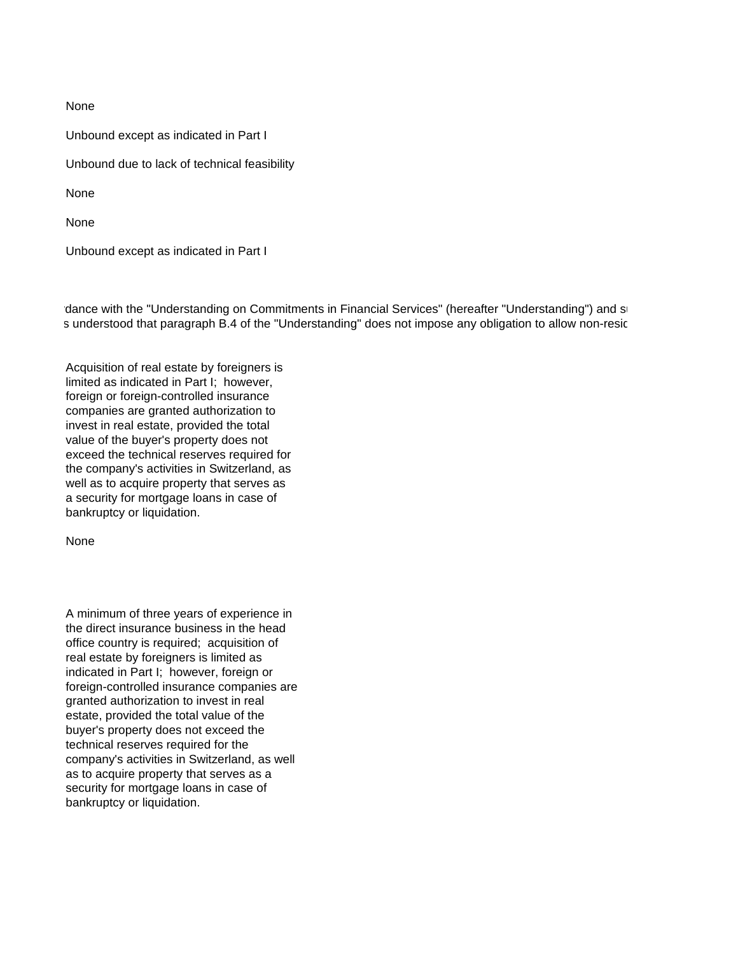Unbound except as indicated in Part I Unbound due to lack of technical feasibility None None

Unbound except as indicated in Part I

rdance with the "Understanding on Commitments in Financial Services" (hereafter "Understanding") and so s understood that paragraph B.4 of the "Understanding" does not impose any obligation to allow non-resic

Acquisition of real estate by foreigners is limited as indicated in Part I; however, foreign or foreign-controlled insurance companies are granted authorization to invest in real estate, provided the total value of the buyer's property does not exceed the technical reserves required for the company's activities in Switzerland, as well as to acquire property that serves as a security for mortgage loans in case of bankruptcy or liquidation.

None

A minimum of three years of experience in the direct insurance business in the head office country is required; acquisition of real estate by foreigners is limited as indicated in Part I; however, foreign or foreign-controlled insurance companies are granted authorization to invest in real estate, provided the total value of the buyer's property does not exceed the technical reserves required for the company's activities in Switzerland, as well as to acquire property that serves as a security for mortgage loans in case of bankruptcy or liquidation.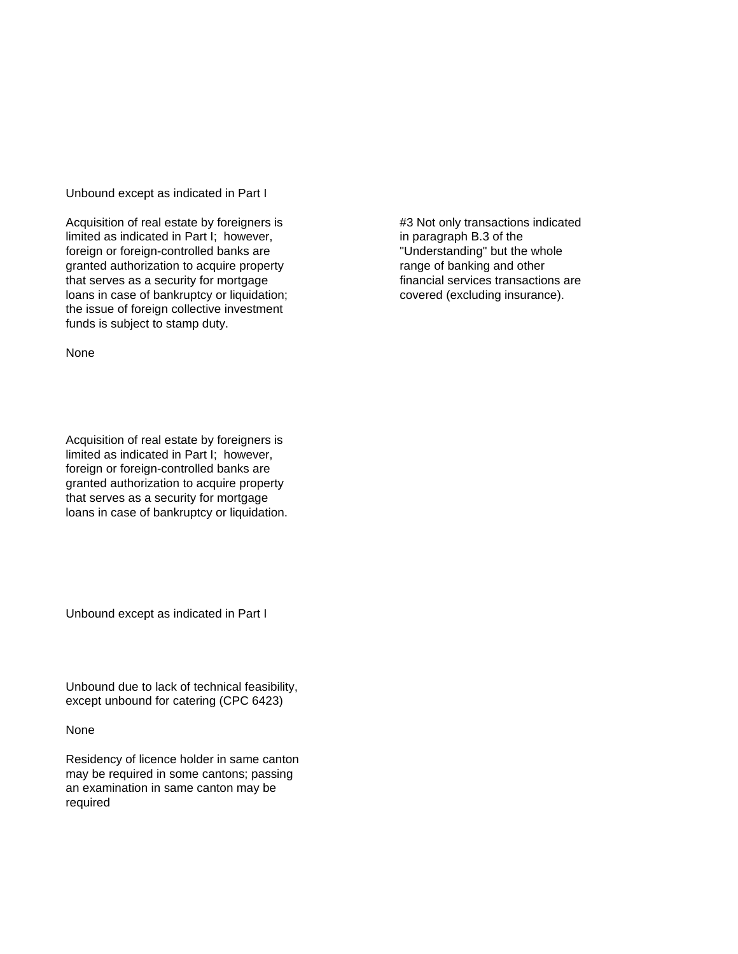Unbound except as indicated in Part I

Acquisition of real estate by foreigners is  $\qquad \qquad \qquad \qquad \qquad \qquad \qquad \qquad \text{43 Not only transactions indicated}$ limited as indicated in Part I; however, in paragraph B.3 of the foreign or foreign-controlled banks are "Understanding" but the whole granted authorization to acquire property range of banking and other that serves as a security for mortgage financial services transactions are loans in case of bankruptcy or liquidation; covered (excluding insurance). the issue of foreign collective investment funds is subject to stamp duty.

None

Acquisition of real estate by foreigners is limited as indicated in Part I; however, foreign or foreign-controlled banks are granted authorization to acquire property that serves as a security for mortgage loans in case of bankruptcy or liquidation.

Unbound except as indicated in Part I

Unbound due to lack of technical feasibility, except unbound for catering (CPC 6423)

None

Residency of licence holder in same canton may be required in some cantons; passing an examination in same canton may be required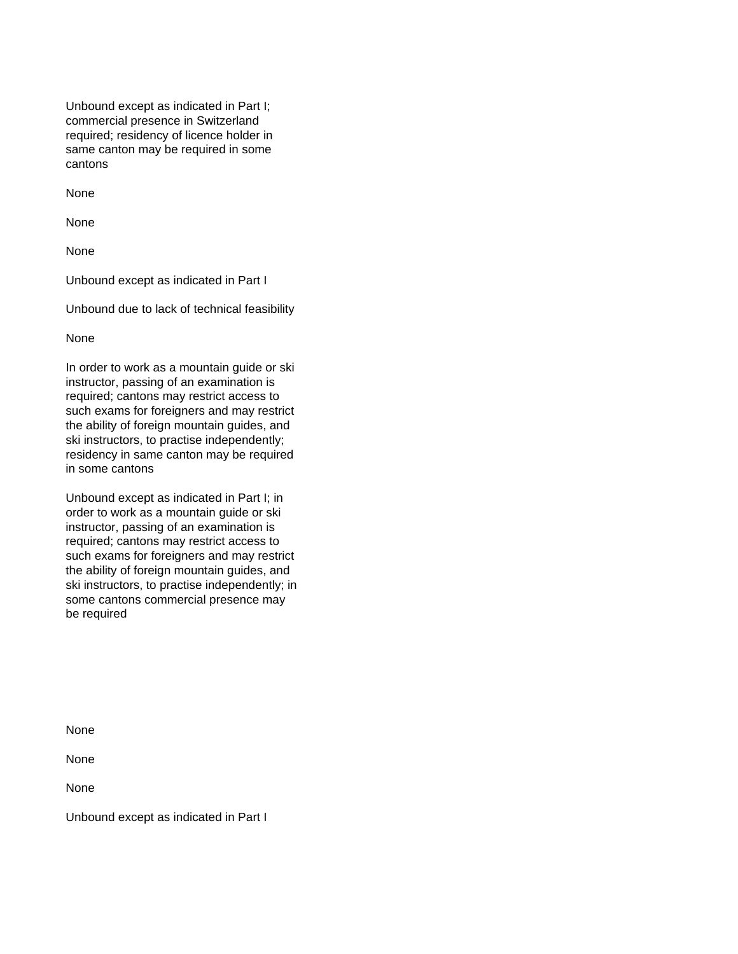Unbound except as indicated in Part I; commercial presence in Switzerland required; residency of licence holder in same canton may be required in some cantons

None

None

None

Unbound except as indicated in Part I

Unbound due to lack of technical feasibility

None

In order to work as a mountain guide or ski instructor, passing of an examination is required; cantons may restrict access to such exams for foreigners and may restrict the ability of foreign mountain guides, and ski instructors, to practise independently; residency in same canton may be required in some cantons

Unbound except as indicated in Part I; in order to work as a mountain guide or ski instructor, passing of an examination is required; cantons may restrict access to such exams for foreigners and may restrict the ability of foreign mountain guides, and ski instructors, to practise independently; in some cantons commercial presence may be required

None

None

None

Unbound except as indicated in Part I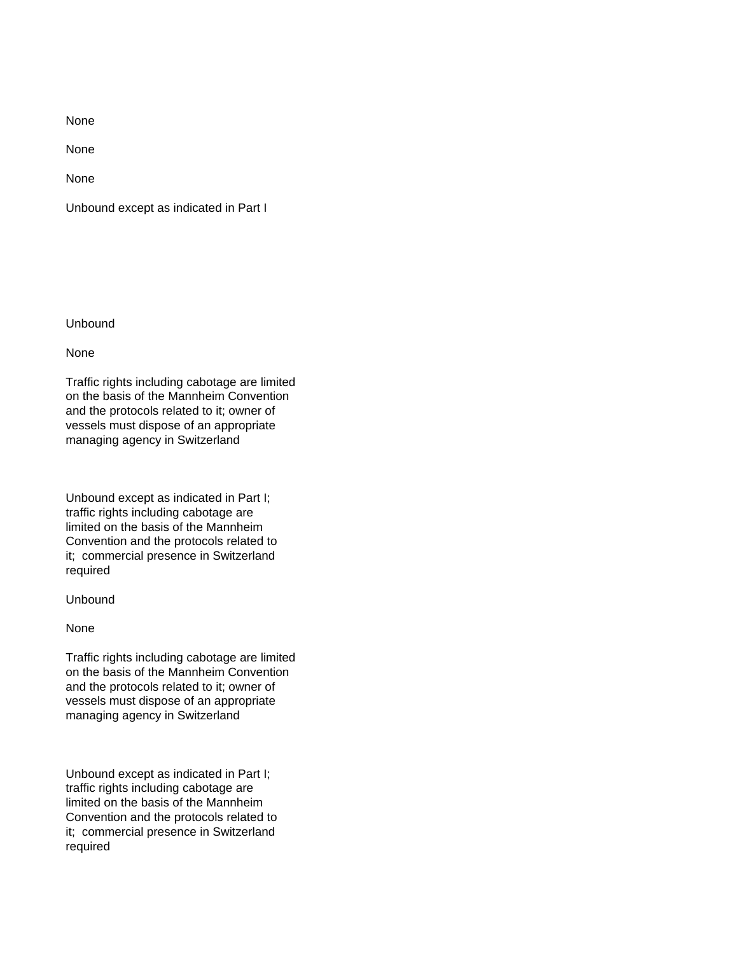None

None

Unbound except as indicated in Part I

Unbound

None

Traffic rights including cabotage are limited on the basis of the Mannheim Convention and the protocols related to it; owner of vessels must dispose of an appropriate managing agency in Switzerland

Unbound except as indicated in Part I; traffic rights including cabotage are limited on the basis of the Mannheim Convention and the protocols related to it; commercial presence in Switzerland required

Unbound

None

Traffic rights including cabotage are limited on the basis of the Mannheim Convention and the protocols related to it; owner of vessels must dispose of an appropriate managing agency in Switzerland

Unbound except as indicated in Part I; traffic rights including cabotage are limited on the basis of the Mannheim Convention and the protocols related to it; commercial presence in Switzerland required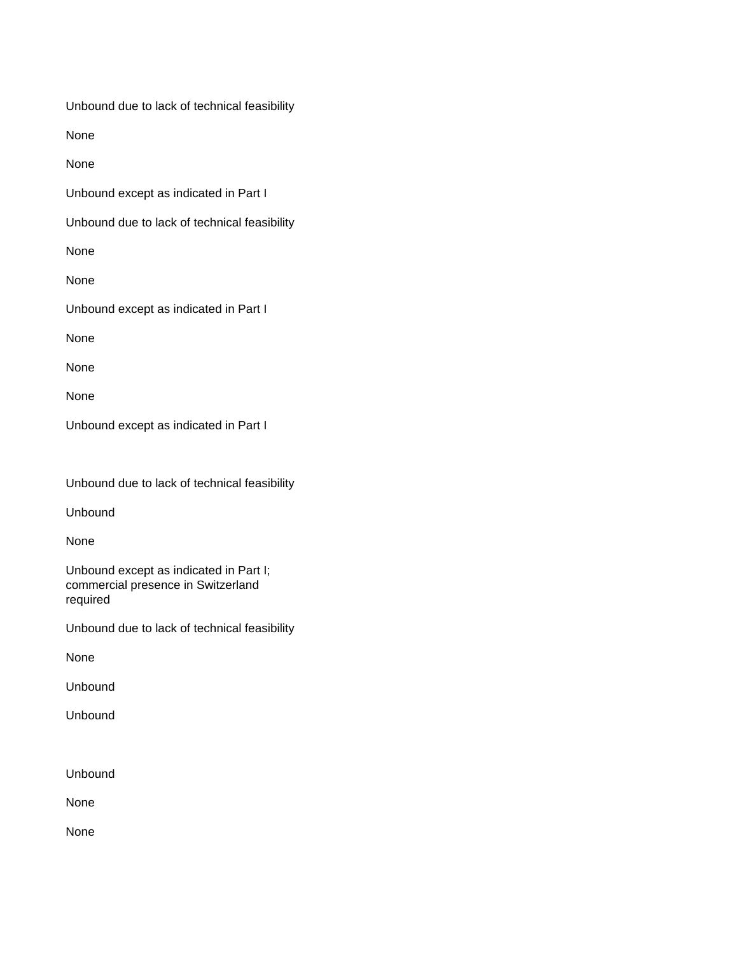Unbound due to lack of technical feasibility

None

None

Unbound except as indicated in Part I

Unbound due to lack of technical feasibility

None

None

Unbound except as indicated in Part I

None

None

None

Unbound except as indicated in Part I

Unbound due to lack of technical feasibility

Unbound

None

Unbound except as indicated in Part I; commercial presence in Switzerland required

Unbound due to lack of technical feasibility

None

Unbound

Unbound

Unbound

None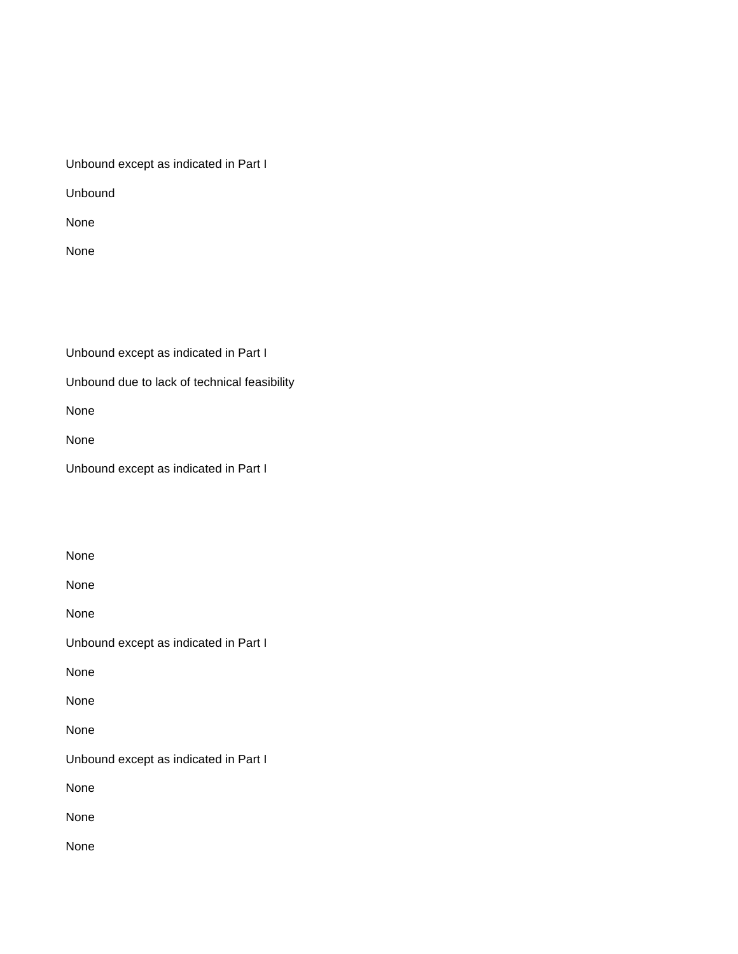Unbound except as indicated in Part I

Unbound

None

None

Unbound except as indicated in Part I

Unbound due to lack of technical feasibility

None

None

Unbound except as indicated in Part I

None None None Unbound except as indicated in Part I None None None Unbound except as indicated in Part I None None None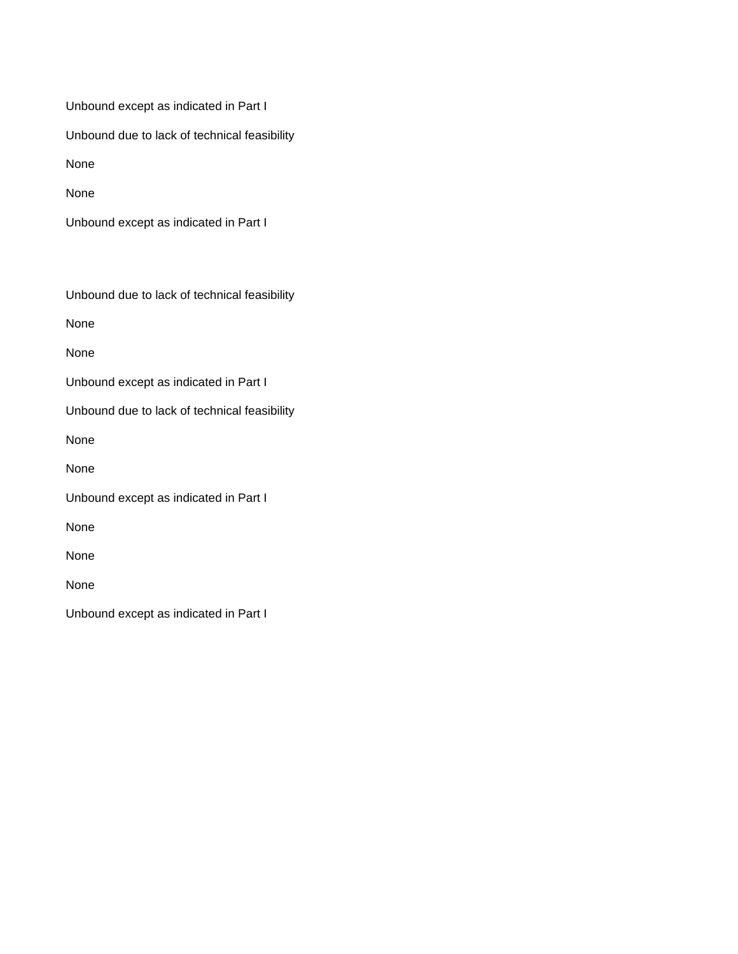Unbound except as indicated in Part I Unbound due to lack of technical feasibility

None

None

Unbound except as indicated in Part I

Unbound due to lack of technical feasibility

None

None

Unbound except as indicated in Part I

Unbound due to lack of technical feasibility

None

None

Unbound except as indicated in Part I

None

None

None

Unbound except as indicated in Part I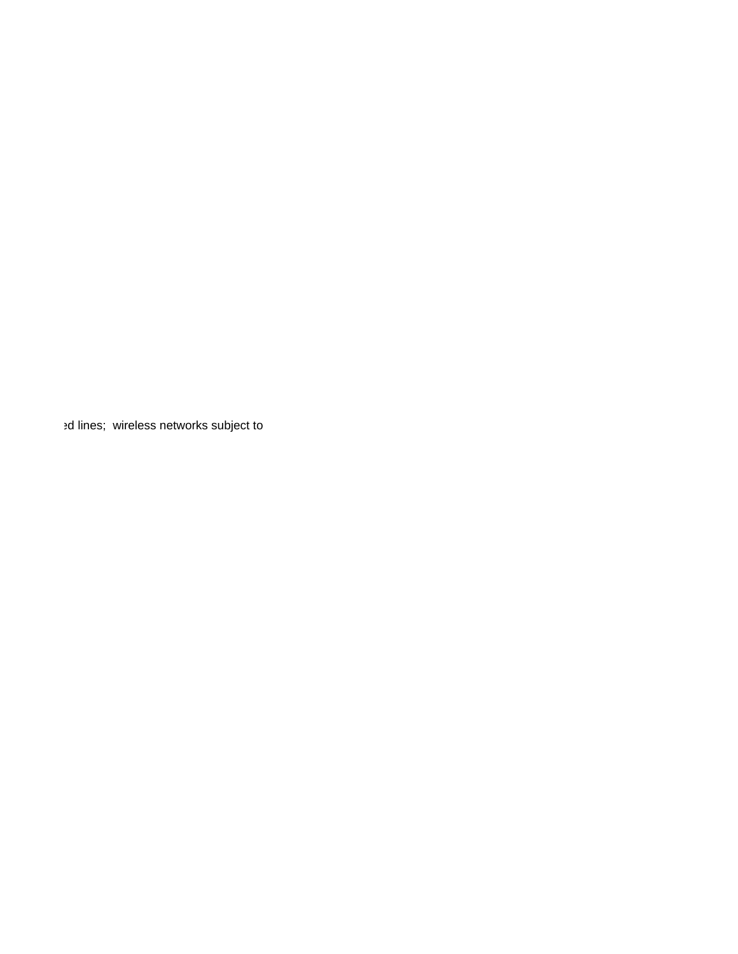ed lines; wireless networks subject to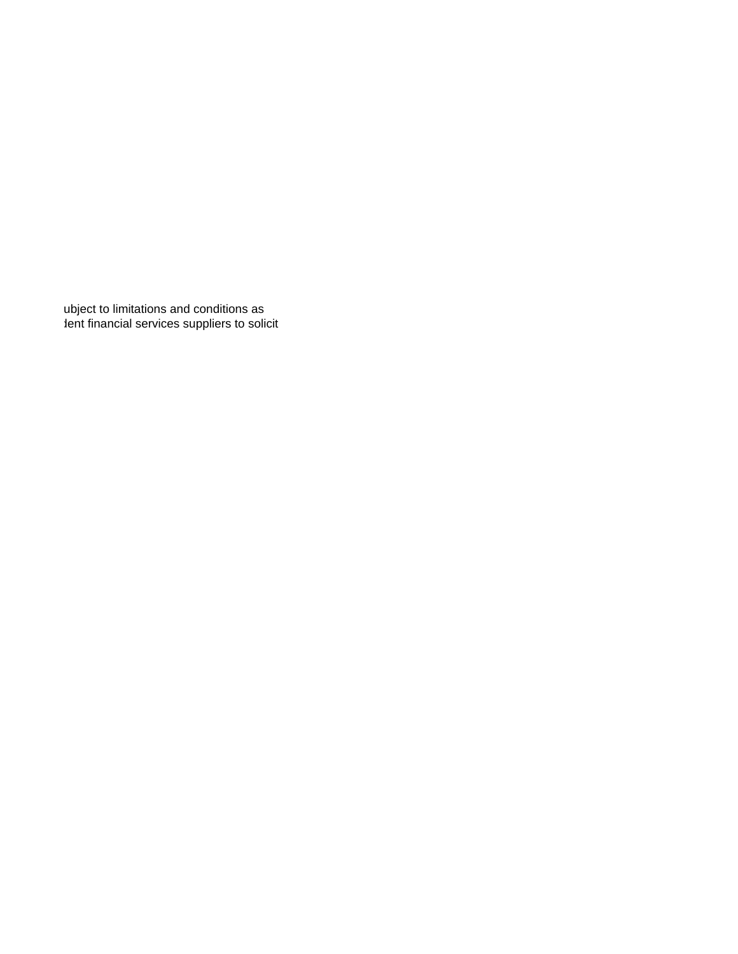ubject to limitations and conditions as dent financial services suppliers to solicit